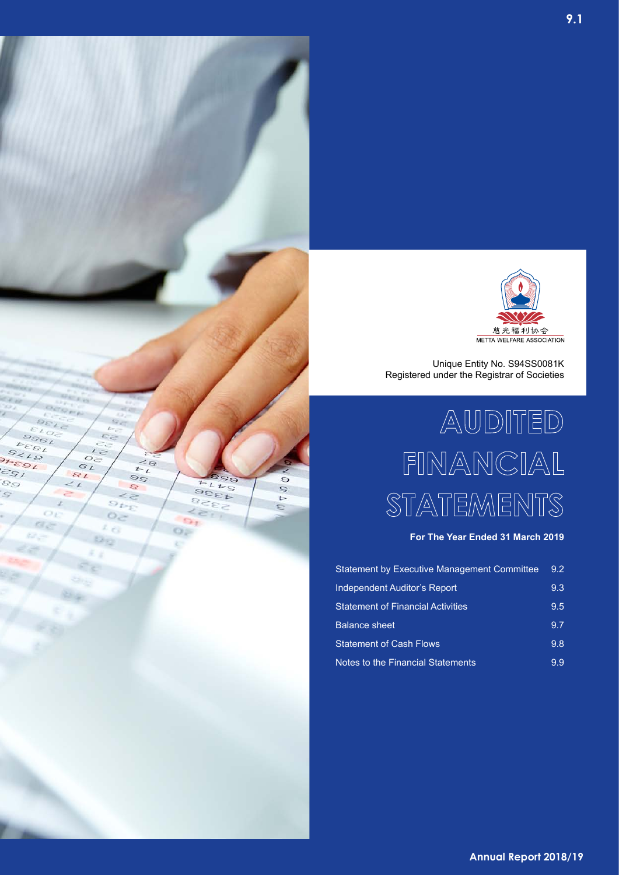

Unique Entity No. S94SS0081K Registered under the Registrar of Societies

**Cars** 

iss.

 $\leq$ 

**SS PLPS** 

**BLAS** 

ASSER

 $z_{\text{eff}}$ 

 $\mathbf{D}_I$ 

Cop

 $\circ$ 

Q

 $\mathbf{t}$ 

E

 $t_{l}$ 

 $\mathcal{Q}$ 

 $\mathcal{Q}$ 

 $<$ 

 $S_{L_E}$ 

 $O_{\mathcal{C}}$ 

 $^{1}$  G

 $L_{\rm T}$ 

 $\varepsilon_{\rm c}$ 

 $\overline{1}$ 

 $O_{\epsilon}$ 

 $G_L$ 

 $S_L$ 

 $\epsilon_L$ 

 $\frac{\partial \overline{\partial} \overline{\partial} \overline{\partial} \mu_{F}}{\partial \overline{\partial} \overline{\partial} \overline{\partial} \overline{\partial} \overline{\partial} \overline{\partial} \overline{\partial}}$ 

 $rac{1}{2E}$ 

 $O_E$ 

a je

 $rac{\varepsilon_{LO}}{\varepsilon}$ 

 $\begin{array}{c} {\cal S}_{S} \rightarrow 0 \\ {\cal S}_{S} \rightarrow 0 \end{array}$ 

PEBL

 $S218$ 

LEST

 $\epsilon_{S}$ 

e9

 $\circ$ 

# AUDITED FINANCIAL STATEMENTS

# **For The Year Ended 31 March 2019**

| <b>Statement by Executive Management Committee</b> |     |  |  |  |  |  |
|----------------------------------------------------|-----|--|--|--|--|--|
| Independent Auditor's Report                       | 9.3 |  |  |  |  |  |
| <b>Statement of Financial Activities</b>           | 9.5 |  |  |  |  |  |
| <b>Balance sheet</b>                               | 9.7 |  |  |  |  |  |
| <b>Statement of Cash Flows</b>                     | 9.8 |  |  |  |  |  |
| Notes to the Financial Statements                  | 99  |  |  |  |  |  |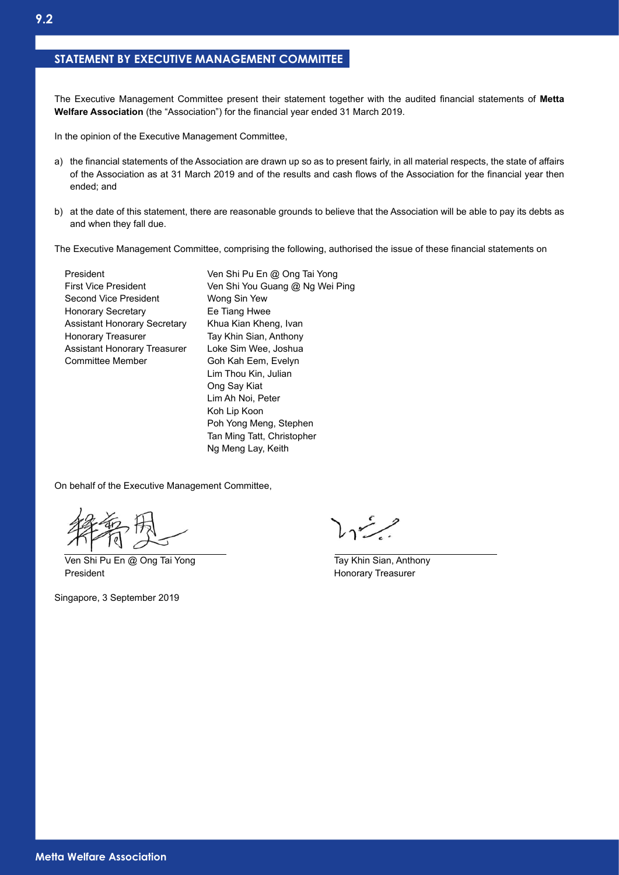# **STATEMENT BY EXECUTIVE MANAGEMENT COMMITTEE**

The Executive Management Committee present their statement together with the audited financial statements of **Metta Welfare Association** (the "Association") for the financial year ended 31 March 2019.

In the opinion of the Executive Management Committee,

- a) the financial statements of the Association are drawn up so as to present fairly, in all material respects, the state of affairs of the Association as at 31 March 2019 and of the results and cash flows of the Association for the financial year then ended; and
- b) at the date of this statement, there are reasonable grounds to believe that the Association will be able to pay its debts as and when they fall due.

The Executive Management Committee, comprising the following, authorised the issue of these financial statements on

| President                           | Ven Shi Pu En @ Ong   |
|-------------------------------------|-----------------------|
| <b>First Vice President</b>         | Ven Shi You Guang @   |
| Second Vice President               | Wong Sin Yew          |
| <b>Honorary Secretary</b>           | Ee Tiang Hwee         |
| <b>Assistant Honorary Secretary</b> | Khua Kian Kheng, Iva  |
| Honorary Treasurer                  | Tay Khin Sian, Anthon |
| <b>Assistant Honorary Treasurer</b> | Loke Sim Wee, Joshu   |
| <b>Committee Member</b>             | Goh Kah Eem, Evelyn   |
|                                     | Lim Thou Kin, Julian  |
|                                     | Ong Say Kiat          |
|                                     |                       |

@ Ong Tai Yong ang @ Ng Wei Ping ng, Ivan **Anthony** Joshua ulian Lim Ah Noi, Peter Koh Lip Koon Poh Yong Meng, Stephen Tan Ming Tatt, Christopher Ng Meng Lay, Keith

On behalf of the Executive Management Committee,

Ven Shi Pu En @ Ong Tai Yong Tay Tay Khin Sian, Anthony President **Honorary Treasurer** 

Singapore, 3 September 2019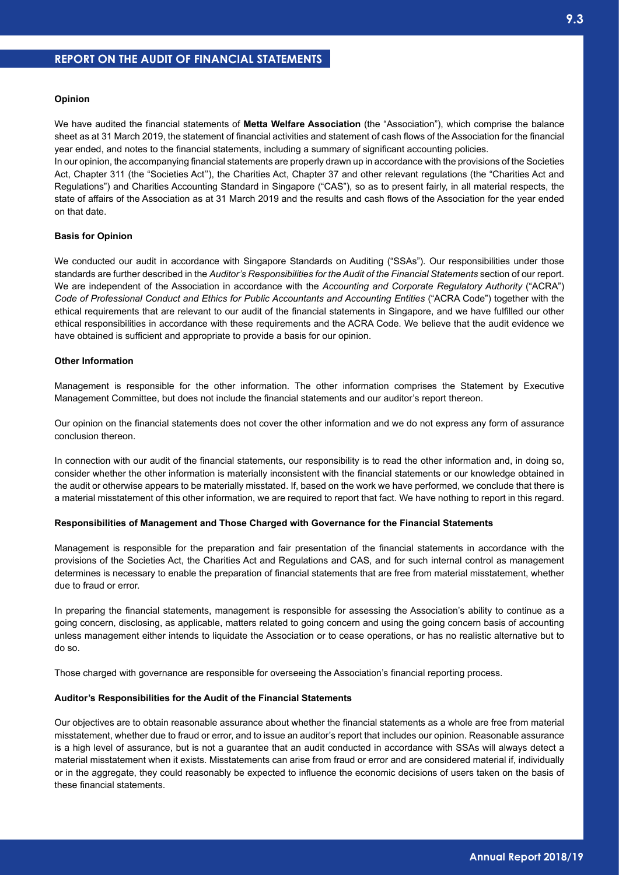#### **Opinion**

We have audited the financial statements of **Metta Welfare Association** (the "Association"), which comprise the balance sheet as at 31 March 2019, the statement of financial activities and statement of cash flows of the Association for the financial year ended, and notes to the financial statements, including a summary of significant accounting policies.

In our opinion, the accompanying financial statements are properly drawn up in accordance with the provisions of the Societies Act, Chapter 311 (the "Societies Act''), the Charities Act, Chapter 37 and other relevant regulations (the "Charities Act and Regulations") and Charities Accounting Standard in Singapore ("CAS"), so as to present fairly, in all material respects, the state of affairs of the Association as at 31 March 2019 and the results and cash flows of the Association for the year ended on that date.

# **Basis for Opinion**

We conducted our audit in accordance with Singapore Standards on Auditing ("SSAs"). Our responsibilities under those standards are further described in the *Auditor's Responsibilities for the Audit of the Financial Statements* section of our report. We are independent of the Association in accordance with the *Accounting and Corporate Regulatory Authority* ("ACRA") *Code of Professional Conduct and Ethics for Public Accountants and Accounting Entities* ("ACRA Code") together with the ethical requirements that are relevant to our audit of the financial statements in Singapore, and we have fulfilled our other ethical responsibilities in accordance with these requirements and the ACRA Code. We believe that the audit evidence we have obtained is sufficient and appropriate to provide a basis for our opinion.

#### **Other Information**

Management is responsible for the other information. The other information comprises the Statement by Executive Management Committee, but does not include the financial statements and our auditor's report thereon.

Our opinion on the financial statements does not cover the other information and we do not express any form of assurance conclusion thereon.

In connection with our audit of the financial statements, our responsibility is to read the other information and, in doing so, consider whether the other information is materially inconsistent with the financial statements or our knowledge obtained in the audit or otherwise appears to be materially misstated. If, based on the work we have performed, we conclude that there is a material misstatement of this other information, we are required to report that fact. We have nothing to report in this regard.

#### **Responsibilities of Management and Those Charged with Governance for the Financial Statements**

Management is responsible for the preparation and fair presentation of the financial statements in accordance with the provisions of the Societies Act, the Charities Act and Regulations and CAS, and for such internal control as management determines is necessary to enable the preparation of financial statements that are free from material misstatement, whether due to fraud or error.

In preparing the financial statements, management is responsible for assessing the Association's ability to continue as a going concern, disclosing, as applicable, matters related to going concern and using the going concern basis of accounting unless management either intends to liquidate the Association or to cease operations, or has no realistic alternative but to do so.

Those charged with governance are responsible for overseeing the Association's financial reporting process.

#### **Auditor's Responsibilities for the Audit of the Financial Statements**

Our objectives are to obtain reasonable assurance about whether the financial statements as a whole are free from material misstatement, whether due to fraud or error, and to issue an auditor's report that includes our opinion. Reasonable assurance is a high level of assurance, but is not a guarantee that an audit conducted in accordance with SSAs will always detect a material misstatement when it exists. Misstatements can arise from fraud or error and are considered material if, individually or in the aggregate, they could reasonably be expected to influence the economic decisions of users taken on the basis of these financial statements.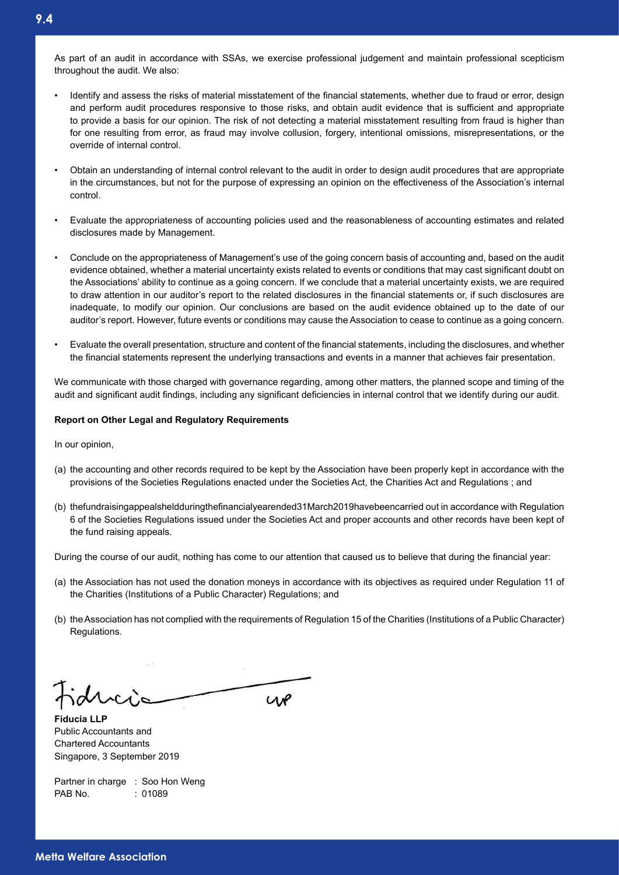As part of an audit in accordance with SSAs, we exercise professional judgement and maintain professional scepticism throughout the audit. We also:

- Identify and assess the risks of material misstatement of the financial statements, whether due to fraud or error, design and perform audit procedures responsive to those risks, and obtain audit evidence that is sufficient and appropriate to provide a basis for our opinion. The risk of not detecting a material misstatement resulting from fraud is higher than for one resulting from error, as fraud may involve collusion, forgery, intentional omissions, misrepresentations, or the override of internal control.
- Obtain an understanding of internal control relevant to the audit in order to design audit procedures that are appropriate in the circumstances, but not for the purpose of expressing an opinion on the effectiveness of the Association's internal control.
- Evaluate the appropriateness of accounting policies used and the reasonableness of accounting estimates and related disclosures made by Management.
- Conclude on the appropriateness of Management's use of the going concern basis of accounting and, based on the audit evidence obtained, whether a material uncertainty exists related to events or conditions that may cast significant doubt on the Associations' ability to continue as a going concern. If we conclude that a material uncertainty exists, we are required to draw attention in our auditor's report to the related disclosures in the financial statements or, if such disclosures are inadequate, to modify our opinion. Our conclusions are based on the audit evidence obtained up to the date of our auditor's report. However, future events or conditions may cause the Association to cease to continue as a going concern.
- Evaluate the overall presentation, structure and content of the financial statements, including the disclosures, and whether the financial statements represent the underlying transactions and events in a manner that achieves fair presentation.

We communicate with those charged with governance regarding, among other matters, the planned scope and timing of the audit and significant audit findings, including any significant deficiencies in internal control that we identify during our audit.

#### **Report on Other Legal and Regulatory Requirements**

In our opinion,

- (a) the accounting and other records required to be kept by the Association have been properly kept in accordance with the provisions of the Societies Regulations enacted under the Societies Act, the Charities Act and Regulations ; and
- (b) thefundraisingappealsheldduringthefinancialyearended31March2019havebeencarried out in accordance with Regulation 6 of the Societies Regulations issued under the Societies Act and proper accounts and other records have been kept of the fund raising appeals.

During the course of our audit, nothing has come to our attention that caused us to believe that during the financial year:

- (a) the Association has not used the donation moneys in accordance with its objectives as required under Regulation 11 of the Charities (Institutions of a Public Character) Regulations; and
- (b) the Association has not complied with the requirements of Regulation 15 of the Charities (Institutions of a Public Character) Regulations.

 $U_{\ell}$ 

**Fiducia LLP** Public Accountants and Chartered Accountants Singapore, 3 September 2019

Partner in charge : Soo Hon Weng PAB No. : 01089

**9.4**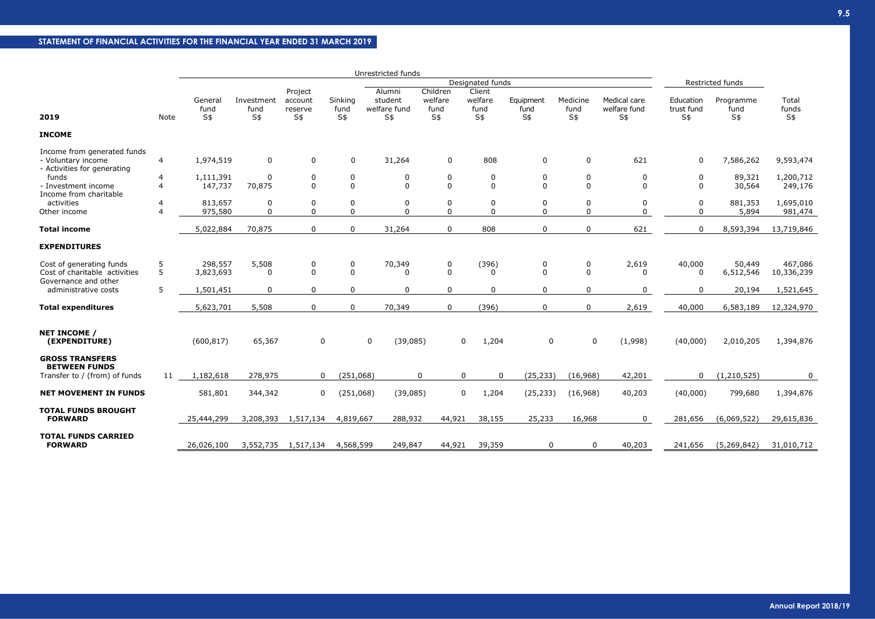*Financial Year Ended 31 March 2019*

|                                | Restricted funds              |                                    |
|--------------------------------|-------------------------------|------------------------------------|
| Education<br>trust fund<br>S\$ | Programme<br>fund<br>$S\$     | Total<br>funds<br>S\$              |
| 0                              | 7,586,262                     | 9,593,474                          |
| 0<br>0                         | 89,321<br>30,564              | 1,200,712<br>249,176               |
| 0<br>0                         | 881,353<br>5,894              | 1,695,010<br>981,474               |
| 0                              | 8,593,394                     | 13,719,846                         |
| 40,000<br>0<br>0               | 50,449<br>6,512,546<br>20,194 | 467,086<br>10,336,239<br>1,521,645 |
| 40,000                         | 6,583,189                     | 12,324,970                         |
| (40,000)                       | 2,010,205                     | 1,394,876                          |
| 0                              | (1, 210, 525)                 | 0                                  |
| (40,000)                       | 799,680                       | 1,394,876                          |
| 281,656                        | (6,069,522)                   | 29,615,836                         |
| 241,656                        | (5,269,842)                   | 31,010,712                         |

|                                                                                  |        |                           |                              |                                         | Unrestricted funds        |                                                     | Designated funds                    |                                     |                           |                                    | Restricted funds                       |                                   |                             |                        |
|----------------------------------------------------------------------------------|--------|---------------------------|------------------------------|-----------------------------------------|---------------------------|-----------------------------------------------------|-------------------------------------|-------------------------------------|---------------------------|------------------------------------|----------------------------------------|-----------------------------------|-----------------------------|------------------------|
| 2019                                                                             | Note   | General<br>fund<br>$S$ \$ | Investment<br>fund<br>$S$ \$ | Project<br>account<br>reserve<br>$S$ \$ | Sinking<br>fund<br>$S$ \$ | Alumni<br>student<br>welfare fund<br>S <sup>4</sup> | Children<br>welfare<br>fund<br>$S\$ | Client<br>welfare<br>fund<br>$S$ \$ | Equipment<br>fund<br>$S\$ | Medicine<br>fund<br>$S$ \$         | Medical care<br>welfare fund<br>$S$ \$ | Education<br>trust fund<br>$S$ \$ | Programme<br>fund<br>$S$ \$ | Total<br>funds<br>$S\$ |
| <b>INCOME</b>                                                                    |        |                           |                              |                                         |                           |                                                     |                                     |                                     |                           |                                    |                                        |                                   |                             |                        |
| Income from generated funds<br>- Voluntary income<br>- Activities for generating | 4      | 1,974,519                 | $\pmb{0}$                    | $\mathbf 0$                             | $\mathbf 0$               | 31,264                                              | $\mathbf 0$                         | 808                                 | $\mathbf 0$               | $\mathbf 0$                        | 621                                    | $\mathbf 0$                       | 7,586,262                   | 9,593,474              |
| funds                                                                            | 4      | 1,111,391                 | $\Omega$                     | 0                                       | $\pmb{0}$                 | 0                                                   | $\mathbf 0$                         | 0                                   | 0                         | $\mathbf 0$                        | 0                                      | $\mathbf 0$                       | 89,321                      | 1,200,712              |
| Investment income<br>Income from charitable                                      | 4      | 147,737                   | 70,875                       | $\mathsf{O}$                            | $\mathbf 0$               | $\overline{0}$                                      | $\mathbf 0$                         | $\mathbf 0$                         | $\mathbf 0$               | $\overline{0}$                     | $\mathbf 0$                            | $\mathbf 0$                       | 30,564                      | 249,176                |
| activities                                                                       | 4      | 813,657                   | 0                            | 0                                       | 0                         | 0                                                   | 0                                   | 0                                   | 0                         | $\boldsymbol{0}$                   | $\mathbf 0$                            | 0                                 | 881,353                     | 1,695,010              |
| Other income                                                                     | 4      | 975,580                   | $\mathbf 0$                  | $\mathbf 0$                             | $\mathbf 0$               | $\Omega$                                            | 0                                   | 0                                   | $\overline{0}$            | $\overline{0}$                     | $\mathbf 0$                            | $\mathbf{0}$                      | 5,894                       | 981,474                |
| <b>Total income</b>                                                              |        | 5,022,884                 | 70,875                       | $\mathbf 0$                             | $\mathbf 0$               | 31,264                                              | $\mathbf 0$                         | 808                                 | $\mathbf 0$               | $\mathbf 0$                        | 621                                    | 0                                 | 8,593,394                   | 13,719,846             |
| <b>EXPENDITURES</b>                                                              |        |                           |                              |                                         |                           |                                                     |                                     |                                     |                           |                                    |                                        |                                   |                             |                        |
| Cost of generating funds<br>Cost of charitable activities                        | 5<br>5 | 298,557<br>3,823,693      | 5,508<br>$\mathbf 0$         | $\boldsymbol{0}$<br>$\pmb{0}$           | $\pmb{0}$<br>$\pmb{0}$    | 70,349<br>$\Omega$                                  | $\boldsymbol{0}$<br>$\mathbf 0$     | (396)<br>0                          | 0<br>$\mathbf 0$          | $\boldsymbol{0}$<br>$\overline{0}$ | 2,619<br>$\Omega$                      | 40,000<br>0                       | 50,449<br>6,512,546         | 467,086<br>10,336,239  |
| Governance and other<br>administrative costs                                     | 5      | 1,501,451                 | $\mathbf 0$                  | $\mathbf 0$                             | $\mathbf 0$               | $\Omega$                                            | 0                                   | 0                                   | $\mathbf 0$               | $\mathbf 0$                        | $\mathbf 0$                            | $\mathbf 0$                       | 20,194                      | 1,521,645              |
| <b>Total expenditures</b>                                                        |        | 5,623,701                 | 5,508                        | $\mathbf 0$                             | $\mathbf 0$               | 70,349                                              | $\mathbf 0$                         | (396)                               | $\mathbf 0$               | $\mathbf 0$                        | 2,619                                  | 40,000                            | 6,583,189                   | 12,324,970             |
| <b>NET INCOME /</b><br>(EXPENDITURE)                                             |        | (600, 817)                | 65,367                       | $\mathbf 0$                             |                           | (39,085)<br>0                                       |                                     | $\mathbf 0$<br>1,204                |                           | $\pmb{0}$                          | $\mathbf 0$<br>(1,998)                 | (40,000)                          | 2,010,205                   | 1,394,876              |
| <b>GROSS TRANSFERS</b><br><b>BETWEEN FUNDS</b><br>Transfer to / (from) of funds  | 11     | 1,182,618                 | 278,975                      | $\mathbf 0$                             | (251,068)                 |                                                     | 0                                   | 0                                   | (25, 233)<br>$\mathbf 0$  | (16,968)                           | 42,201                                 | $\mathbf{0}$                      | (1, 210, 525)               |                        |
| <b>NET MOVEMENT IN FUNDS</b>                                                     |        | 581,801                   | 344,342                      | $\mathbf 0$                             | (251,068)                 | (39,085)                                            |                                     | 1,204<br>$\mathbf 0$                | (25, 233)                 | (16,968)                           | 40,203                                 | (40,000)                          | 799,680                     | 1,394,876              |
| <b>TOTAL FUNDS BROUGHT</b><br><b>FORWARD</b>                                     |        | 25,444,299                | 3,208,393                    | 1,517,134                               | 4,819,667                 | 288,932                                             | 44,921                              | 38,155                              | 25,233                    | 16,968                             | $\mathbf 0$                            | 281,656                           | (6,069,522)                 | 29,615,836             |
| <b>TOTAL FUNDS CARRIED</b><br><b>FORWARD</b>                                     |        | 26,026,100                |                              | 3,552,735 1,517,134                     | 4,568,599                 | 249,847                                             | 44,921                              | 39,359                              |                           | $\mathbf 0$                        | 40,203<br>$\mathbf 0$                  | 241,656                           | (5,269,842)                 | 31,010,712             |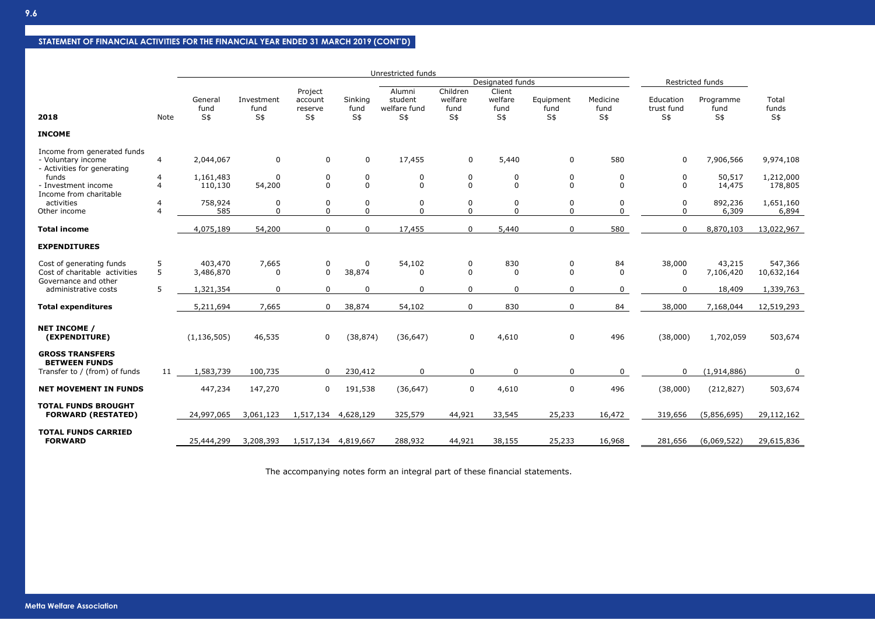# **STATEMENT OF FINANCIAL ACTIVITIES FOR THE FINANCIAL YEAR ENDED 31 MARCH 2019 (CONT'D)**

*Financial Year Ended 31 March 2019*

|                                                                                   |                     |                           |                                      |                                       |                            |                                           |                                     | Designated funds                    |                                 |                            |                                           | Restricted funds            |                        |
|-----------------------------------------------------------------------------------|---------------------|---------------------------|--------------------------------------|---------------------------------------|----------------------------|-------------------------------------------|-------------------------------------|-------------------------------------|---------------------------------|----------------------------|-------------------------------------------|-----------------------------|------------------------|
| 2018                                                                              | Note                | General<br>fund<br>$S$ \$ | Investment<br>fund<br>S <sup>4</sup> | Project<br>account<br>reserve<br>$S\$ | Sinking<br>fund<br>$S$ \$  | Alumni<br>student<br>welfare fund<br>$S*$ | Children<br>welfare<br>fund<br>$S\$ | Client<br>welfare<br>fund<br>$S$ \$ | Equipment<br>fund<br>$S$ \$     | Medicine<br>fund<br>$S\$   | Education<br>trust fund<br>S <sup>4</sup> | Programme<br>fund<br>$S$ \$ | Total<br>funds<br>$S\$ |
| <b>INCOME</b>                                                                     |                     |                           |                                      |                                       |                            |                                           |                                     |                                     |                                 |                            |                                           |                             |                        |
| Income from generated funds<br>- Voluntary income<br>- Activities for generating  | 4                   | 2,044,067                 | $\pmb{0}$                            | $\mathbf 0$                           | 0                          | 17,455                                    | 0                                   | 5,440                               | $\mathbf 0$                     | 580                        | 0                                         | 7,906,566                   | 9,974,108              |
| funds<br>- Investment income<br>Income from charitable                            | 4<br>$\overline{4}$ | 1,161,483<br>110,130      | $\mathbf 0$<br>54,200                | $\mathbf 0$<br>$\mathbf 0$            | $\mathbf 0$<br>$\mathbf 0$ | $\mathbf 0$<br>$\mathbf 0$                | $\pmb{0}$<br>$\mathbf 0$            | $\pmb{0}$<br>$\mathbf 0$            | $\boldsymbol{0}$<br>$\mathbf 0$ | $\mathbf 0$<br>$\mathbf 0$ | 0<br>$\mathbf 0$                          | 50,517<br>14,475            | 1,212,000<br>178,805   |
| activities<br>Other income                                                        | 4<br>4              | 758,924<br>585            | $\Omega$<br>$\Omega$                 | 0<br>$\mathbf 0$                      | 0<br>$\mathbf 0$           | $\Omega$<br>$\overline{0}$                | 0<br>$\mathbf 0$                    | 0<br>$\mathbf{0}$                   | 0<br>$\mathbf 0$                | 0<br>$\mathbf 0$           | 0<br>$\Omega$                             | 892,236<br>6,309            | 1,651,160<br>6,894     |
| <b>Total income</b>                                                               |                     | 4,075,189                 | 54,200                               | $\mathbf 0$                           | $\mathbf 0$                | 17,455                                    | $\mathbf{0}$                        | 5,440                               | $\mathbf 0$                     | 580                        | $\mathbf 0$                               | 8,870,103                   | 13,022,967             |
| <b>EXPENDITURES</b>                                                               |                     |                           |                                      |                                       |                            |                                           |                                     |                                     |                                 |                            |                                           |                             |                        |
| Cost of generating funds<br>Cost of charitable activities<br>Governance and other | 5<br>5              | 403,470<br>3,486,870      | 7,665<br>0                           | $\mathbf 0$<br>$\mathbf 0$            | 0<br>38,874                | 54,102<br>$\Omega$                        | $\boldsymbol{0}$<br>$\mathbf 0$     | 830<br>$\mathbf 0$                  | $\mathbf 0$<br>$\mathbf 0$      | 84<br>$\mathbf 0$          | 38,000<br>$\mathbf{0}$                    | 43,215<br>7,106,420         | 547,366<br>10,632,164  |
| administrative costs                                                              | 5                   | 1,321,354                 | $\mathbf 0$                          | $\mathbf 0$                           | 0                          | $\mathbf 0$                               | 0                                   | $\mathbf 0$                         | $\mathbf 0$                     | $\mathbf 0$                | $\mathbf{0}$                              | 18,409                      | 1,339,763              |
| <b>Total expenditures</b>                                                         |                     | 5,211,694                 | 7,665                                | $\mathbf 0$                           | 38,874                     | 54,102                                    | 0                                   | 830                                 | $\mathbf 0$                     | 84                         | 38,000                                    | 7,168,044                   | 12,519,293             |
| <b>NET INCOME /</b><br>(EXPENDITURE)                                              |                     | (1, 136, 505)             | 46,535                               | 0                                     | (38, 874)                  | (36, 647)                                 | $\mathbf 0$                         | 4,610                               | $\mathbf 0$                     | 496                        | (38,000)                                  | 1,702,059                   | 503,674                |
| <b>GROSS TRANSFERS</b><br><b>BETWEEN FUNDS</b><br>Transfer to / (from) of funds   | 11                  | 1,583,739                 | 100,735                              | $\mathbf 0$                           | 230,412                    | $\pmb{0}$                                 | $\mathbf 0$                         | $\mathbf 0$                         | $\mathbf 0$                     | $\mathbf 0$                | $\Omega$                                  | (1,914,886)                 | $\mathsf{O}$           |
| <b>NET MOVEMENT IN FUNDS</b>                                                      |                     | 447,234                   | 147,270                              | $\mathbf 0$                           | 191,538                    | (36, 647)                                 | $\mathbf 0$                         | 4,610                               | $\mathbf 0$                     | 496                        | (38,000)                                  | (212, 827)                  | 503,674                |
| <b>TOTAL FUNDS BROUGHT</b><br><b>FORWARD (RESTATED)</b>                           |                     | 24,997,065                | 3,061,123                            | 1,517,134                             | 4,628,129                  | 325,579                                   | 44,921                              | 33,545                              | 25,233                          | 16,472                     | 319,656                                   | (5,856,695)                 | 29,112,162             |
| <b>TOTAL FUNDS CARRIED</b><br><b>FORWARD</b>                                      |                     | 25,444,299                | 3,208,393                            | 1,517,134 4,819,667                   |                            | 288,932                                   | 44,921                              | 38,155                              | 25,233                          | 16,968                     | 281,656                                   | (6,069,522)                 | 29,615,836             |

The accompanying notes form an integral part of these financial statements.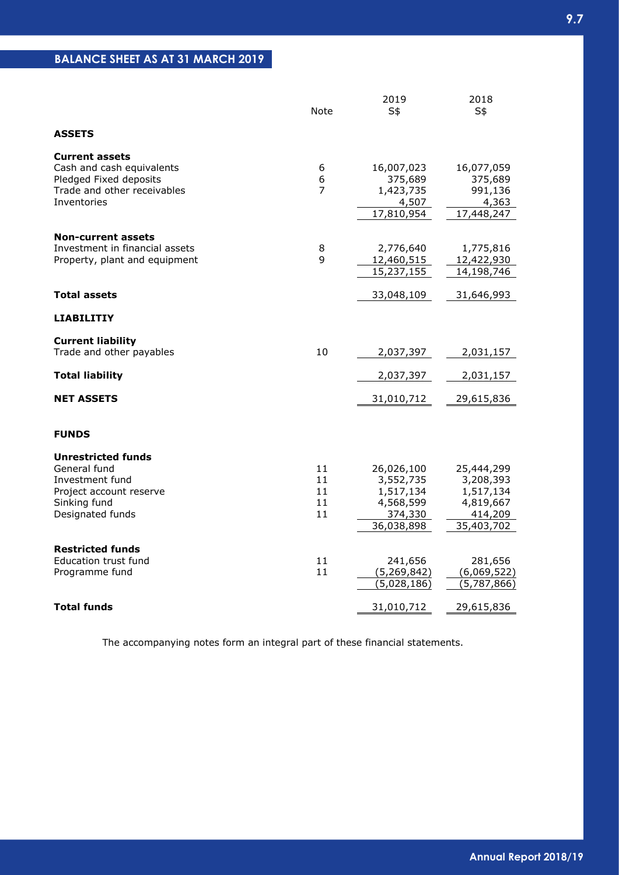*Audited Financial Statements*

# **Balance Sheet As At 31 MARCH 2019**

|                                                                                                                             | Note                       | 2019<br>$S*$                                                               | 2018<br>$S$ \$                                                             |
|-----------------------------------------------------------------------------------------------------------------------------|----------------------------|----------------------------------------------------------------------------|----------------------------------------------------------------------------|
| <b>ASSETS</b>                                                                                                               |                            |                                                                            |                                                                            |
| <b>Current assets</b><br>Cash and cash equivalents<br>Pledged Fixed deposits<br>Trade and other receivables<br>Inventories  | 6<br>6<br>7                | 16,007,023<br>375,689<br>1,423,735<br>4,507<br>17,810,954                  | 16,077,059<br>375,689<br>991,136<br>4,363<br>17,448,247                    |
| <b>Non-current assets</b><br>Investment in financial assets<br>Property, plant and equipment                                | 8<br>9                     | 2,776,640<br>12,460,515<br>15,237,155                                      | 1,775,816<br>12,422,930<br>14,198,746                                      |
| <b>Total assets</b>                                                                                                         |                            | 33,048,109                                                                 | 31,646,993                                                                 |
| <b>LIABILITIY</b>                                                                                                           |                            |                                                                            |                                                                            |
| <b>Current liability</b><br>Trade and other payables                                                                        | 10                         | 2,037,397                                                                  | 2,031,157                                                                  |
| <b>Total liability</b>                                                                                                      |                            | 2,037,397                                                                  | 2,031,157                                                                  |
| <b>NET ASSETS</b>                                                                                                           |                            | 31,010,712                                                                 | 29,615,836                                                                 |
| <b>FUNDS</b>                                                                                                                |                            |                                                                            |                                                                            |
| <b>Unrestricted funds</b><br>General fund<br>Investment fund<br>Project account reserve<br>Sinking fund<br>Designated funds | 11<br>11<br>11<br>11<br>11 | 26,026,100<br>3,552,735<br>1,517,134<br>4,568,599<br>374,330<br>36,038,898 | 25,444,299<br>3,208,393<br>1,517,134<br>4,819,667<br>414,209<br>35,403,702 |
| <b>Restricted funds</b><br><b>Education trust fund</b><br>Programme fund                                                    | 11<br>11                   | 241,656<br>(5, 269, 842)<br>(5,028,186)                                    | 281,656<br>(6,069,522)<br>(5,787,866)                                      |
| <b>Total funds</b>                                                                                                          |                            | 31,010,712                                                                 | 29,615,836                                                                 |

The accompanying notes form an integral part of these financial statements.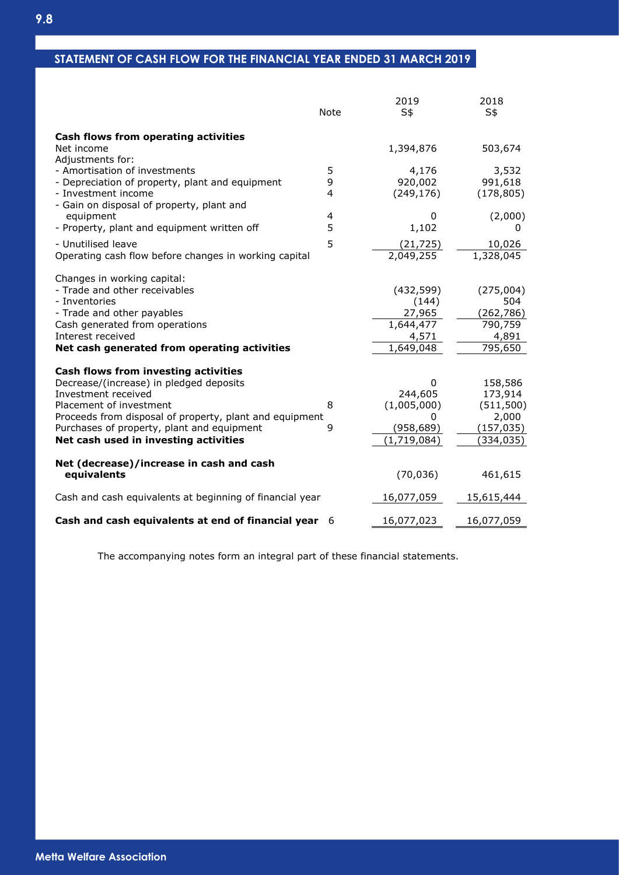# **STATEMENT of cash flow FOR THE FINANCIAL YEAR ENDED 31 MARCH 2019**

*Audited Financial Statements*

|                                                                                    | Note | 2019<br>S <sub>5</sub> | 2018<br>S <sub>4</sub> |
|------------------------------------------------------------------------------------|------|------------------------|------------------------|
| Cash flows from operating activities                                               |      |                        |                        |
| Net income                                                                         |      | 1,394,876              | 503,674                |
| Adjustments for:<br>- Amortisation of investments                                  | 5    | 4,176                  | 3,532                  |
| - Depreciation of property, plant and equipment                                    | 9    | 920,002                | 991,618                |
| - Investment income                                                                | 4    | (249, 176)             | (178, 805)             |
| - Gain on disposal of property, plant and                                          |      |                        |                        |
| equipment                                                                          | 4    | 0                      | (2,000)                |
| - Property, plant and equipment written off                                        | 5    | 1,102                  | 0                      |
| - Unutilised leave                                                                 | 5    | (21, 725)              | 10,026                 |
| Operating cash flow before changes in working capital                              |      | 2,049,255              | 1,328,045              |
| Changes in working capital:                                                        |      |                        |                        |
| - Trade and other receivables                                                      |      | (432, 599)             | (275,004)              |
| - Inventories                                                                      |      | (144)                  | 504                    |
| - Trade and other payables                                                         |      | 27,965                 | (262, 786)             |
| Cash generated from operations<br>Interest received                                |      | 1,644,477              | 790,759                |
| Net cash generated from operating activities                                       |      | 4,571<br>1,649,048     | 4,891<br>795,650       |
|                                                                                    |      |                        |                        |
| Cash flows from investing activities                                               |      |                        |                        |
| Decrease/(increase) in pledged deposits                                            |      | 0                      | 158,586                |
| Investment received                                                                |      | 244,605                | 173,914                |
| Placement of investment<br>Proceeds from disposal of property, plant and equipment | 8    | (1,005,000)<br>0       | (511, 500)<br>2,000    |
| Purchases of property, plant and equipment                                         | 9    | (958, 689)             | (157, 035)             |
| Net cash used in investing activities                                              |      | (1,719,084)            | (334, 035)             |
| Net (decrease)/increase in cash and cash                                           |      |                        |                        |
| equivalents                                                                        |      | (70, 036)              | 461,615                |
| Cash and cash equivalents at beginning of financial year                           |      | 16,077,059             | 15,615,444             |
| Cash and cash equivalents at end of financial year                                 | 6    | 16,077,023             | 16,077,059             |

The accompanying notes form an integral part of these financial statements.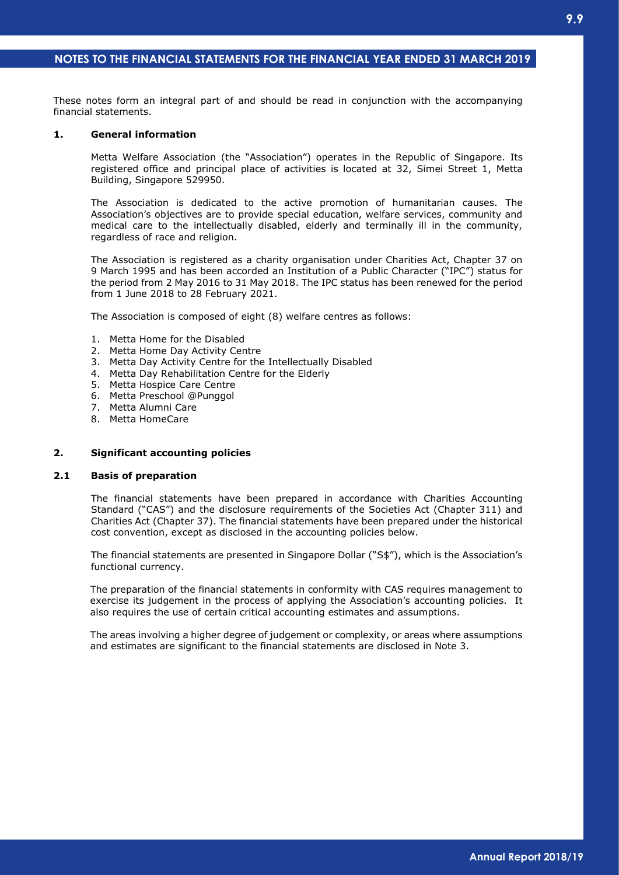# **NOTES TO THE FINANCIAL STATEMENTS FOR THE FINANCIAL YEAR ENDED 31 MARCH 2019 NOTES TO THE FINANCIAL STATEMENTS**

These notes form an integral part of and should be read in conjunction with the accompanying financial statements.

### **1. General information**

Metta Welfare Association (the "Association") operates in the Republic of Singapore. Its registered office and principal place of activities is located at 32, Simei Street 1, Metta Building, Singapore 529950.

The Association is dedicated to the active promotion of humanitarian causes. The Association's objectives are to provide special education, welfare services, community and medical care to the intellectually disabled, elderly and terminally ill in the community, regardless of race and religion.

The Association is registered as a charity organisation under Charities Act, Chapter 37 on 9 March 1995 and has been accorded an Institution of a Public Character ("IPC") status for the period from 2 May 2016 to 31 May 2018. The IPC status has been renewed for the period from 1 June 2018 to 28 February 2021.

The Association is composed of eight (8) welfare centres as follows:

- 1. Metta Home for the Disabled
- 2. Metta Home Day Activity Centre
- 3. Metta Day Activity Centre for the Intellectually Disabled
- 4. Metta Day Rehabilitation Centre for the Elderly
- 5. Metta Hospice Care Centre
- 6. Metta Preschool @Punggol
- 7. Metta Alumni Care
- 8. Metta HomeCare

# **2. Significant accounting policies**

## **2.1 Basis of preparation**

The financial statements have been prepared in accordance with Charities Accounting Standard ("CAS") and the disclosure requirements of the Societies Act (Chapter 311) and Charities Act (Chapter 37). The financial statements have been prepared under the historical cost convention, except as disclosed in the accounting policies below.

The financial statements are presented in Singapore Dollar ("S\$"), which is the Association's functional currency.

The preparation of the financial statements in conformity with CAS requires management to exercise its judgement in the process of applying the Association's accounting policies. It also requires the use of certain critical accounting estimates and assumptions.

The areas involving a higher degree of judgement or complexity, or areas where assumptions and estimates are significant to the financial statements are disclosed in Note 3.

*Financial Year Ended 31 March 2019*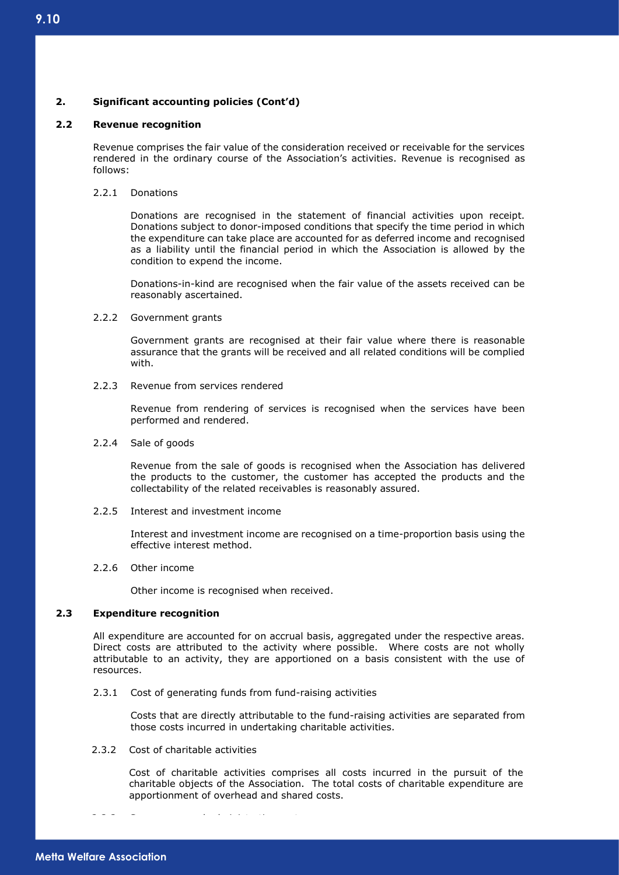# **2. Significant accounting policies (Cont'd)**

#### **2.2 Revenue recognition**

Revenue comprises the fair value of the consideration received or receivable for the services rendered in the ordinary course of the Association's activities. Revenue is recognised as follows:

## 2.2.1 Donations

Donations are recognised in the statement of financial activities upon receipt. Donations subject to donor-imposed conditions that specify the time period in which the expenditure can take place are accounted for as deferred income and recognised as a liability until the financial period in which the Association is allowed by the condition to expend the income.

*[UEN. S94SS0081K]*

Donations-in-kind are recognised when the fair value of the assets received can be reasonably ascertained.

#### 2.2.2 Government grants

Government grants are recognised at their fair value where there is reasonable assurance that the grants will be received and all related conditions will be complied with.

2.2.3 Revenue from services rendered

Revenue from rendering of services is recognised when the services have been performed and rendered.

2.2.4 Sale of goods

Revenue from the sale of goods is recognised when the Association has delivered the products to the customer, the customer has accepted the products and the collectability of the related receivables is reasonably assured.

2.2.5 Interest and investment income

Interest and investment income are recognised on a time-proportion basis using the effective interest method.

2.2.6 Other income

Other income is recognised when received.

# **2.3 Expenditure recognition**

All expenditure are accounted for on accrual basis, aggregated under the respective areas. Direct costs are attributed to the activity where possible. Where costs are not wholly attributable to an activity, they are apportioned on a basis consistent with the use of resources.  $\epsilon$  respective areas.

2.3.1 Cost of generating funds from fund-raising activities

Costs that are directly attributable to the fund-raising activities are separated from those costs incurred in undertaking charitable activities. **2.3 Expenditure recognition (Cont'd)**

2.3.2 Cost of charitable activities

Cost of charitable activities comprises all costs incurred in the pursuit of the charitable objects of the Association. The total costs of charitable expenditure are apportionment of overhead and shared costs.

Governance costs include the costs of governance arrangement, which relate to the costs of governance  $\sigma$ 

 2.3.3 Governance and administrative costs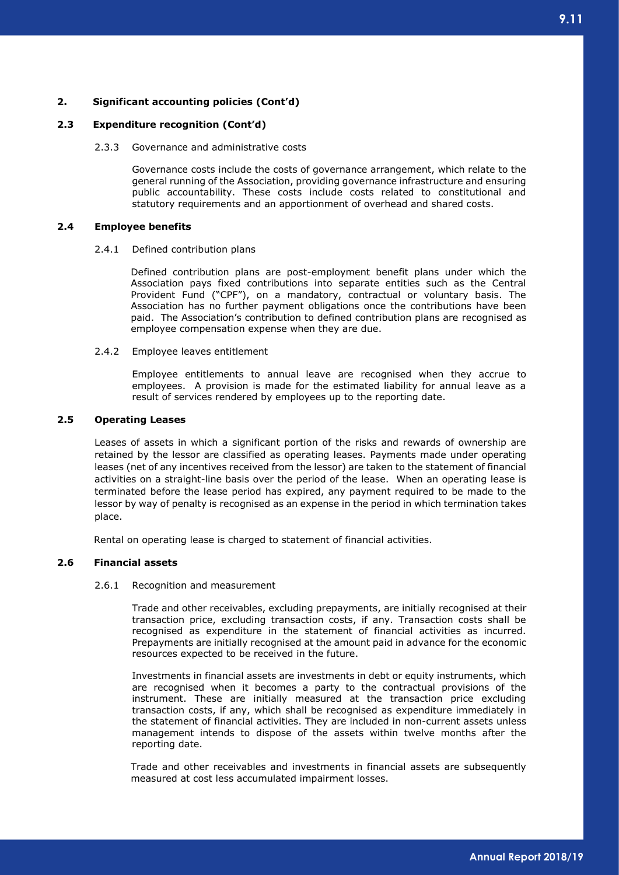*[UEN. S94SS0081K]*

# Cost of charitable activities comprises all costs incurred in the pursuit of the **2. Significant accounting policies (Cont'd)**

**2. Significant accounting policies (Cont'd)**

# 2.3 Expenditure recognition (Cont'd)

2.3.3 Governance and administrative costs

Governance costs include the costs of governance arrangement, which relate to the general running of the Association, providing governance infrastructure and ensuring public accountability. These costs include costs related to constitutional and statutory requirements and an apportionment of overhead and shared costs. Governance costs include the costs of governance arrangement, which relate to the<br>general running of the Association, providing governance infrastructure and ensuring<br>public accountability. These costs include costs relate

# **2.4 Employee benefits**

### 2.4.1 Defined contribution plans **general running of the Association** governance infrastructure and ensuring and ensuring and ensuring and ensuring and ensuring and ensuring and ensuring and ensuring and ensuring and ensur

Defined contribution plans are post-employment benefit plans under which the Association pays fixed contributions into separate entities such as the Central Provident Fund ("CPF"), on a mandatory, contractual or voluntary basis. The Association has no further payment obligations once the contributions have been paid. The Association's contribution to defined contribution plans are recognised as employee compensation expense when they are due.

2.4.2 Employee leaves entitlement into separate entities such as the Central Separate entities such as the Cen

Employee entitlements to annual leave are recognised when they accrue to employees. A provision is made for the estimated liability for annual leave as a result of services rendered by employees up to the reporting date.

#### **2.5 Operating Leases**

Leases of assets in which a significant portion of the risks and rewards of ownership are retained by the lessor are classified as operating leases. Payments made under operating leases (net of any incentives received from the lessor) are taken to the statement of financial activities on a straight-line basis over the period of the lease. When an operating lease is terminated before the lease period has expired, any payment required to be made to the lessor by way of penalty is recognised as an expense in the period in which termination takes<br>Place place. retained by the lessor are classified as operating leases. Payments made under operating

Rental on operating lease is charged to statement of financial activities. activities on a straight-line basis over the period of the period of the lease. When an operating lease is  $\mathcal{L}$ *Metta Welfare Association*

# **2.6 Financial assets the lease period has expired, any payment required, any payment required to be made to be made to the made to be made to be made to be made to be made to the made to the made to the made to the ma**

#### 2.6.1 Recognition and measurement

Trade and other receivables, excluding prepayments, are initially recognised at their transaction price, excluding transaction costs, if any. Transaction costs shall be recognised as expenditure in the statement of financial activities as incurred. Prepayments are initially recognised at the amount paid in advance for the economic resources expected to be received in the future.

management intends to dispose of the assets within twelve months after the Investments in financial assets are investments in debt or equity instruments, which are recognised when it becomes a party to the contractual provisions of the instrument. These are initially measured at the transaction price excluding transaction costs, if any, which shall be recognised as expenditure immediately in transaction costs, if any, which shall be recognised as expenditure immediately in<br>the statement of financial activities. They are included in non-current assets unless reporting date.

> Trade and other receivables and investments in financial assets are subsequently measured at cost less accumulated impairment losses.

> financial assets have expired or have been transferred and the Association has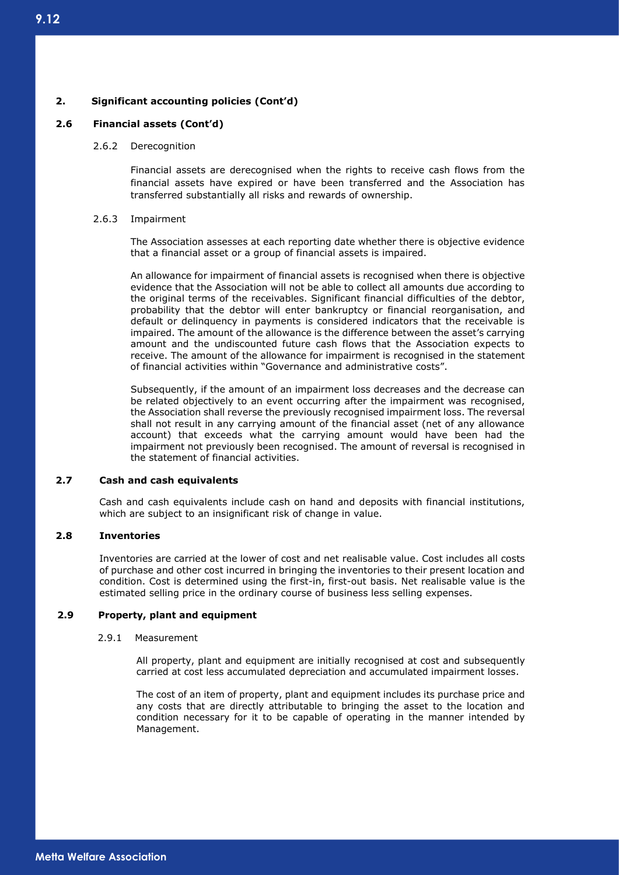# **2. Significant accounting policies (Cont'd)**

# **2.6 Financial assets (Cont'd) measured impairment losses.**

#### 2.6.2 Derecognition

Financial assets are derecognised when the rights to receive cash flows from the financial assets have expired or have been transferred and the Association has transferred substantially all risks and rewards of ownership. transaction costs, if any, which shall be recognised as expenditure in  $\mathcal{L}_\text{max}$  in  $\mathcal{L}_\text{max}$ 

are recognised when it becomes a party to the contractual provisions of the

*[UEN. S94SS0081K]*

#### the statement of financial activities. They are included in non-current assets unless 2.6.3 Impairment management intends to dispose of the assets with twelve months after the assets with twelve months after the a

The Association assesses at each reporting date whether there is objective evidence that a financial asset or a group of financial assets is impaired.

An allowance for impairment of financial assets is recognised when there is objective the original terms of the receivables. Significant financial difficulties of the debtor, default or delinquency in payments is considered indicators that the receivable is impaired. The amount of the allowance is the difference between the asset's carrying amount and the undiscounted future cash flows that the Association expects to of financial activities within "Governance and administrative costs". evidence that the Association will not be able to collect all amounts due according to probability that the debtor will enter bankruptcy or financial reorganisation, and receive. The amount of the allowance for impairment is recognised in the statement

Subsequently, if the amount of an impairment loss decreases and the decrease can Subsequently, if the amount of an impairment loss decreases and the decrease can<br>be related objectively to an event occurring after the impairment was recognised, shall not result in any carrying amount of the financial asset (net of any allowance account) that exceeds what the carrying amount would have been had the impairment not previously been recognised. The amount of reversal is recognised in the statement of financial activities. the Association shall reverse the previously recognised impairment loss. The reversal shall not result in any carrying amount of the financial asset (net of any allowance account) that exceeds what the carrying amount would have been had the impairment not previously been recognised. The amount of reversal

#### impaired. The amount of the allowance is the difference between the asset's carrying **2.7 Cash and cash equivalents**

Cash and cash equivalents include cash on hand and deposits with financial institutions, which are subject to an insignificant risk of change in value.

#### $\mathbf s$  subsequently, if the amount of an impairment loss decreases and the decreases and the decrease can impair **2.8 Inventories**

Inventories are carried at the lower of cost and net realisable value. Cost includes all costs of purchase and other cost incurred in bringing the inventories to their present location and condition. Cost is determined using the first-in, first-out basis. Net realisable value is the estimated selling price in the ordinary course of business less selling expenses.

#### the statement of financial activities. **2.9 Property, plant and equipment 2.9 Property, plant and equipment**

#### 2.9.1 Measurement 2.9.1 Measurement

All property, plant and equipment are initially recognised at cost and subsequently carried at cost less accumulated depreciation and accumulated impairment losses. carried at cost less accumulated depreciation and accumulated impairment losses.

any costs that are directly attributable to bringing the asset to the location and condition necessary for it to be capable of operating in the manner intended by condition. Cost is determined using the first-in, first-out basis of the first-out basis of the first-out basis. Net realisable value is the first-out basis. Net realisable value is the first-out of the first-out of the fi The cost of an item of property, plant and equipment includes its purchase price and

 $A \in \mathcal{A}$  years of the set of the set of the set of the set of the set of the set of the set of the set of the set of the set of the set of the set of the set of the set of the set of the set of the set of the set of th

 $A_{\rm eff}$  years of the set of the set of the set of the set of the set of the set of the set of the set of the set of the set of the set of the set of the set of the set of the set of the set of the set of the set of the s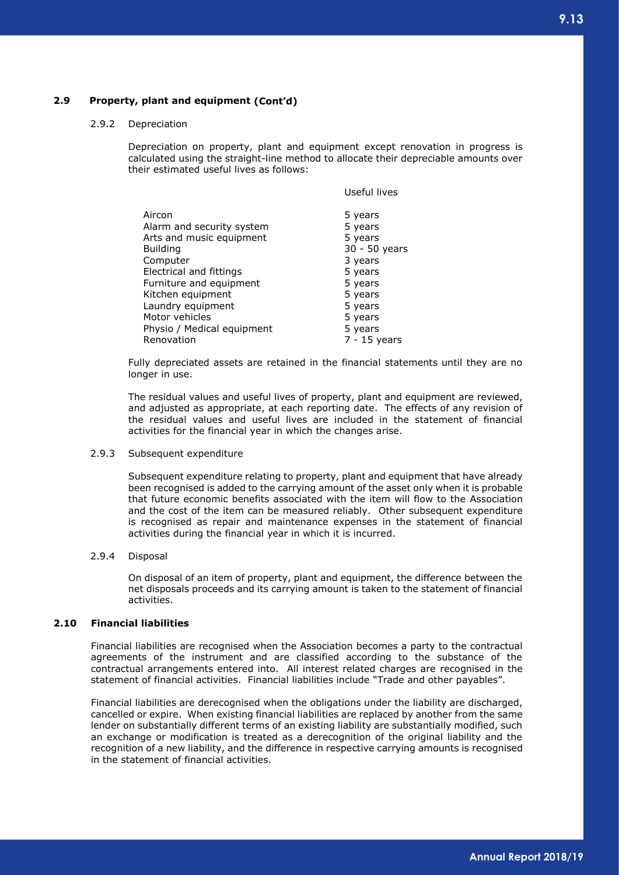*[UEN. S94SS0081K]*

*Audited Financial Statements*

# **2.9** Property, plant and equipment (Cont'd)

#### 2.9.2 Depreciation

Depreciation on property, plant and equipment except renovation in progress is their estimated useful lives as follows: which or equity instruments, which is a strument of the struments of  $\sim$ calculated using the straight-line method to allocate their depreciable amounts over

Useful lives

All property, plant and equipment are initially recognised at cost and subsequently recognised at  $\alpha$ 

|                            | Useful lives   |
|----------------------------|----------------|
| Aircon                     | 5 years        |
| Alarm and security system  | 5 years        |
| Arts and music equipment   | 5 years        |
| <b>Building</b>            | 30 - 50 years  |
| Computer                   | 3 years        |
| Electrical and fittings    | 5 years        |
| Furniture and equipment    | 5 years        |
| Kitchen equipment          | 5 years        |
| Laundry equipment          | 5 years        |
| Motor vehicles             | 5 years        |
| Physio / Medical equipment | 5 years        |
| Renovation                 | $7 - 15$ years |
|                            |                |

Fully depreciated assets are retained in the financial statements until they are no longer in use. The set of the set of the set of the set of the set of the set of the set of the set of the set

The Association assesses at each reporting date whether there is objective evidence The residual values and useful lives of property, plant and equipment are reviewed, the residual values and useful lives are included in the statement of financial is the residual values and useful lives are included in the statement of financial activities for the financial year in which the changes arise. and adjusted as appropriate, at each reporting date. The effects of any revision of

#### $\mathbf{r}$  original terms of the receivables. Significant financial different financial different financial different financial different financial different financial different financial different financial different finan 2.9.3 Subsequent expenditure **and reportancial reportancial reportancial renovation**

default or delinquency in payments is considered indicators that the receivable is Subsequent expenditure relating to property, plant and equipment that have already been recognised is added to the carrying amount of the asset only when it is probable<br>that future economic benefits associated with the item will flow to the Association receive a continuous perfects associated with the term will now to the Association and the cost of the item can be measured reliably. Other subsequent expenditure activities during the financial year in which it is incurred. Subsequent expenditure relating to property, plant and equipment that have already<br>been recognised is added to the carrying amount of the asset only when it is probable is recognised as repair and maintenance expenses in the statement of financial

#### be related objectively to an event occurring after the impairment was recognised,  $t$  reverse the previously recognised impairment loss. The reverse the previously recognised impairment loss. The reversal  $t$ 2.9.4 Disposal

On disposal of an item of property, plant and equipment, the difference between the and disposed out in the carry  $\mu$  must be carrying amount is taken to the character of financial in the carry of  $\mu$ net disposals proceeds and its carrying amount is taken to the statement of financial<br>activities  $t_{\text{t}}$ between recognised is added to the carrying amount of the asset only when it is probable asset on  $\mathcal{L}$  $\overline{\mathbf{r}}$  activities.

# **2.7 Cash and cash equivalents** and the cost of the item can be measured reliably. Other subsequent expenditure **2.10 Financial liabilities**

Financial liabilities are recognised when the Association becomes a party to the contractual agreements of the instrument and are classified according to the substance of the statement of financial activities. Financial liabilities include "Trade and other payables". contractual arrangements entered into. All interest related charges are recognised in the

Financial liabilities are derecognised when the obligations under the liability are discharged, cancelled or expire. When existing financial liabilities are replaced by another from the same lender on substantially different terms of an existing liability are substantially modified, such<br>concerting the value is the issue is the state of an existing liability are substantially modified, such the an exchange or modification is treated as a derecognition of the original liability and the recognition of a new liability, and the difference in respective carrying amounts is recognised in the statement of financial activities.

financial activities as incurred. Accruals are recognised at the best estimate of the amount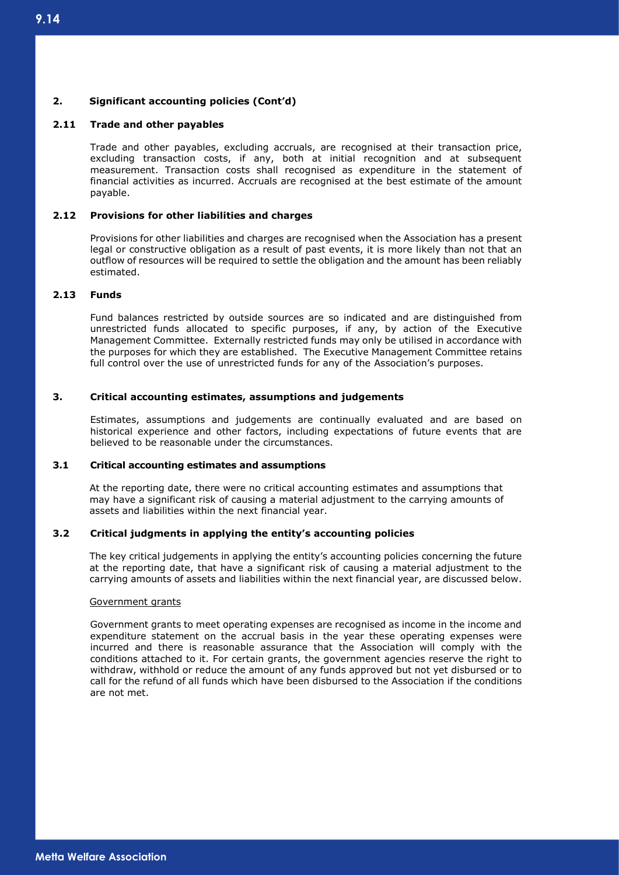# 2. Significant accounting policies (Cont'd)

#### **2.10 Financial liabilities 2.11Trade and other payables**

Trade and other payables, excluding accruals, are recognised at their transaction price, excluding transaction costs, if any, both at initial recognition and at subsequent measurement. Transaction costs shall recognised as expenditure in the statement of financial activities as incurred. Accruals are recognised at the best estimate of the amount payable.

*[UEN. S94SS0081K]*

#### cancelled or expire. When existing financial liabilities are replaced by another from the same **2.12 Provisions for other liabilities and charges**

Provisions for other liabilities and charges are recognised when the Association has a present Provisions for other liabilities and charges are recognised when the Association has a present<br>legal or constructive obligation as a result of past events, it is more likely than not that an outflow of resources will be required to settle the obligation and the amount has been reliably estimated.

#### **2.13 Funds**

Fund balances restricted by outside sources are so indicated and are distinguished from Fund balances restricted by outside sources are so indicated and are distinguished from<br>unrestricted funds allocated to specific purposes, if any, by action of the Executive Management Committee. Externally restricted funds may only be utilised in accordance with the purposes for which they are established. The Executive Management Committee retains full control over the use of unrestricted funds for any of the Association's purposes.

#### Provisions for other liabilities and charges are recognised when the Association has a present **3. Critical accounting estimates, assumptions and judgements**

Estimates, assumptions and judgements are continually evaluated and are based on Estimates, assumptions and judgements are continually evaluated and are based on<br>historical experience and other factors, including expectations of future events that are<br>. believed to be reasonable under the circumstances.

### **3.1 Critical accounting estimates and assumptions**

At the reporting date, there were no critical accounting estimates and assumptions that may have a significant risk of causing a material adjustment to the carrying amounts of assets and liabilities within the next financial year.

#### **3.2 Critical judgments in applying the entity's accounting policies**

The key critical judgements in applying the entity's accounting policies concerning the future carrying amounts of assets and liabilities within the next financial year, are discussed below. at the reporting date, that have a significant risk of causing a material adjustment to the

#### believer to be reasonable under the circumstances of the circumstances. The circumstances is a control of the circumstances of the circumstances of the circumstances. The circumstances of the circumstances of the circumsta

Government grants to meet operating expenses are recognised as income in the income and incurred and there is reasonable assurance that the Association will comply with the conditions attached to it. For certain grants, the government agencies reserve the right to withdraw, withhold or reduce the amount of any funds approved but not yet disbursed or to expenditure statement on the accrual basis in the year these operating expenses were call for the refund of all funds which have been disbursed to the Association if the conditions are not met.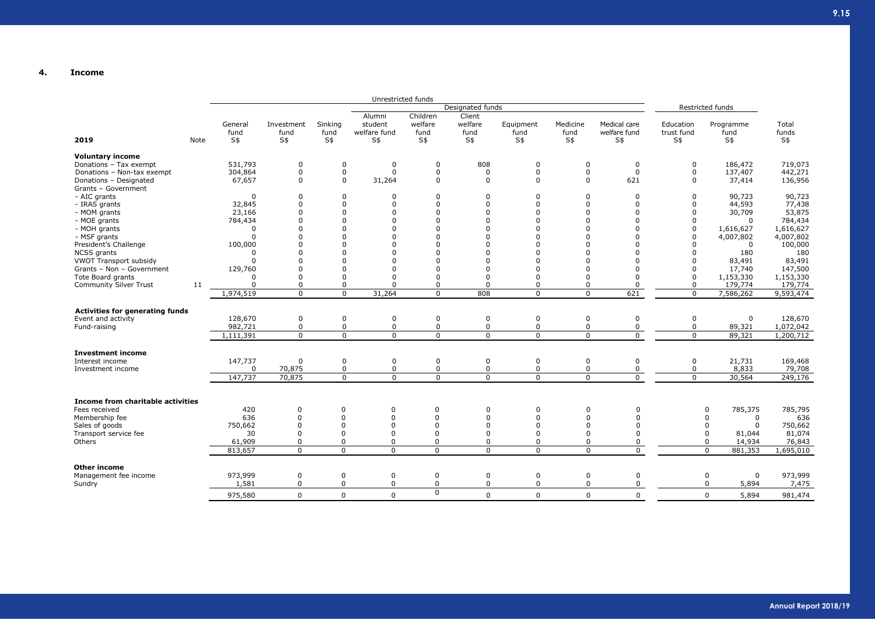# **4. Income**

| Restricted funds |   |           |                       |  |  |  |
|------------------|---|-----------|-----------------------|--|--|--|
| Education        |   | Programme | Total                 |  |  |  |
| trust fund       |   | fund      | funds                 |  |  |  |
| S\$              |   | S\$       | S\$                   |  |  |  |
| 0                |   | 186,472   | 719,073               |  |  |  |
| 0                |   | 137,407   | 442,271               |  |  |  |
| 0                |   | 37,414    | 136,956               |  |  |  |
| 0                |   | 90,723    | 90,723                |  |  |  |
| 0                |   | 44,593    | 77,438                |  |  |  |
| 0                |   | 30,709    | 53,875                |  |  |  |
| 0                |   | 0         | 784,434               |  |  |  |
| 0                |   | 1,616,627 | 1,616,627             |  |  |  |
| 0                |   | 4,007,802 | 4,007,802             |  |  |  |
| 0                |   | 0         | 100,000               |  |  |  |
| 0                |   | 180       | 180                   |  |  |  |
| 0                |   | 83,491    | 83,491                |  |  |  |
| 0                |   | 17,740    | 147,500               |  |  |  |
| 0                |   | 1,153,330 | 1,153,330             |  |  |  |
| 0                |   | 179,774   | 179,774               |  |  |  |
| 0                |   | 7,586,262 | 9,593,474             |  |  |  |
| 0                |   | 0         | 128,670               |  |  |  |
| 0                |   | 89,321    | 1,072,042             |  |  |  |
| 0                |   | 89,321    | 1,200,712             |  |  |  |
| 0                |   | 21,731    | 169,468               |  |  |  |
| 0                |   | 8,833     | 79,708                |  |  |  |
| 0                |   | 30,564    | $\overline{2}$ 49,176 |  |  |  |
|                  |   |           |                       |  |  |  |
|                  | 0 | 785,375   | 785,795               |  |  |  |
|                  | 0 | 0         | 636                   |  |  |  |
|                  | 0 | 0         | 750,662               |  |  |  |
|                  | 0 | 81,044    | 81,074                |  |  |  |
|                  | 0 | 14,934    | 76,843                |  |  |  |
|                  | 0 | 881,353   | 1,695,010             |  |  |  |
|                  |   |           |                       |  |  |  |
|                  | 0 | 0         | 973,999               |  |  |  |
|                  | 0 | 5,894     | 7,475                 |  |  |  |
|                  | 0 | 5,894     | 981,474               |  |  |  |

|                                              |      |                   |                            |                  |                                    | Unrestricted funds  |                     |                               |                            |                               |                         |                                       |                     |
|----------------------------------------------|------|-------------------|----------------------------|------------------|------------------------------------|---------------------|---------------------|-------------------------------|----------------------------|-------------------------------|-------------------------|---------------------------------------|---------------------|
|                                              |      | Designated funds  |                            |                  |                                    |                     |                     |                               | Restricted funds           |                               |                         |                                       |                     |
|                                              |      |                   |                            |                  | Alumni                             | Children            | Client              |                               |                            |                               |                         |                                       |                     |
|                                              |      | General<br>fund   | Investment<br>fund         | Sinking<br>fund  | student<br>welfare fund            | welfare<br>fund     | welfare<br>fund     | Equipment<br>fund             | Medicine<br>fund           | Medical care<br>welfare fund  | Education<br>trust fund | Programme<br>fund                     | Total<br>funds      |
| 2019                                         | Note | $S\$              | S\$                        | $S\$             | $S\$                               | $S\$                | $S\$                | $S*$                          | $S$ \$                     | $S\$                          | $S\$                    | $S\$                                  | $S\$                |
| <b>Voluntary income</b>                      |      |                   |                            |                  |                                    |                     |                     |                               |                            |                               |                         |                                       |                     |
| Donations - Tax exempt                       |      | 531,793           | 0                          | 0                | 0                                  | $\boldsymbol{0}$    | 808                 | $\mathbf 0$                   | 0                          | 0                             | 0                       | 186,472                               | 719,073             |
| Donations - Non-tax exempt                   |      | 304,864           | $\mathbf 0$                | $\boldsymbol{0}$ | $\mathbf 0$                        | $\mathbf 0$         |                     | $\mathbf 0$                   | $\mathbf 0$                | $\mathbf 0$                   | $\mathbf{0}$            | 137,407                               | 442,271             |
| Donations - Designated                       |      | 67,657            | $\overline{0}$             | $\mathbf 0$      | 31,264                             | $\mathbf 0$         | $\Omega$            | $\mathbf 0$                   | $\mathbf 0$                | 621                           | $\mathbf{0}$            | 37,414                                | 136,956             |
| Grants - Government                          |      |                   |                            |                  |                                    |                     |                     |                               |                            |                               |                         |                                       |                     |
| - AIC grants                                 |      | $\mathbf 0$       | 0                          | $\mathbf 0$      | O                                  | $\overline{0}$      |                     | $\mathbf{0}$                  | $\mathbf 0$                | 0                             | 0                       | 90,723                                | 90,723              |
| - IRAS grants                                |      | 32,845            | $\Omega$                   | $\mathbf 0$      |                                    | $\pmb{0}$           |                     | $\Omega$                      | $\mathbf 0$                | $\Omega$                      | $\Omega$                | 44,593                                | 77,438              |
| - MOM grants                                 |      | 23,166            |                            | $\mathbf 0$      |                                    | $\mathbf 0$         |                     | $\Omega$                      | $\Omega$                   | $\Omega$                      |                         | 30,709                                | 53,875              |
| - MOE grants                                 |      | 784,434           |                            | $\Omega$         |                                    | $\mathbf 0$         |                     | $\Omega$                      | $\Omega$                   | $\Omega$                      | $\Omega$                | $\Omega$                              | 784,434             |
| - MOH grants                                 |      | 0                 |                            | $\mathbf 0$      |                                    | $\mathbf 0$         |                     | $\Omega$                      | $\Omega$                   | $\Omega$                      | $\mathbf 0$             | 1,616,627                             | 1,616,627           |
| - MSF grants                                 |      | $\Omega$          |                            | $\overline{0}$   |                                    | $\mathbf 0$         |                     |                               | $\Omega$                   |                               | 0                       | 4,007,802                             | 4,007,802           |
| President's Challenge                        |      | 100,000           |                            | $\Omega$         |                                    | $\mathbf 0$         |                     |                               | $\Omega$                   |                               |                         | $\overline{0}$                        | 100,000             |
| NCSS grants                                  |      | 0                 |                            | $\Omega$         |                                    | $\Omega$            |                     |                               | $\Omega$                   |                               |                         | 180                                   | 180                 |
| <b>VWOT Transport subsidy</b>                |      | <sup>n</sup>      |                            | $\Omega$         |                                    | $\Omega$            |                     | $\Omega$                      | $\Omega$                   |                               |                         | 83,491                                | 83,491              |
| Grants - Non - Government                    |      | 129,760           |                            | $\Omega$         |                                    | $\mathbf 0$         |                     | $\Omega$                      | $\Omega$                   | $\Omega$                      | $\Omega$                | 17,740                                | 147,500             |
| Tote Board grants                            |      | <sup>n</sup>      |                            | $\Omega$         |                                    | $\mathbf 0$         |                     | 0                             | $\Omega$                   | $\Omega$                      | 0                       | 1,153,330                             | 1,153,330           |
| <b>Community Silver Trust</b>                | 11   | $\Omega$          |                            | $\mathbf 0$      |                                    | $\mathbf 0$         |                     | $\mathbf 0$                   | 0                          | $\mathbf{0}$                  | 0                       | 179,774                               | 179,774             |
|                                              |      | 1,974,519         | $\overline{0}$             | $\mathbf 0$      | 31,264                             | $\mathbf 0$         | 808                 | $\mathbf 0$                   | $\mathbf{0}$               | 621                           | $\mathbf{0}$            | 7,586,262                             | 9,593,474           |
| <b>Activities for generating funds</b>       |      |                   |                            |                  |                                    |                     |                     |                               |                            |                               |                         |                                       |                     |
| Event and activity                           |      | 128,670           | 0                          | $\boldsymbol{0}$ | 0                                  | $\boldsymbol{0}$    | 0                   | 0                             | $\mathbf 0$                | 0                             | $\mathbf 0$             | $\mathbf 0$                           | 128,670             |
| Fund-raising                                 |      | 982,721           | $\mathbf 0$                | $\mathbf 0$      | $\mathbf 0$                        | $\mathbf 0$         | 0                   | $\mathbf 0$                   | $\mathbf 0$                | $\mathbf 0$                   | $\mathbf 0$             | 89,321                                | 1,072,042           |
|                                              |      | 1,111,391         | $\overline{0}$             | $\overline{0}$   | $\overline{0}$                     | $\overline{0}$      | $\overline{0}$      | $\overline{0}$                | $\overline{0}$             | $\overline{0}$                | $\mathbf{0}$            | 89,321                                | 1,200,712           |
| <b>Investment income</b>                     |      |                   |                            |                  |                                    |                     |                     |                               |                            |                               |                         |                                       |                     |
| Interest income                              |      | 147,737           | 0                          | 0                | 0                                  | $\boldsymbol{0}$    | 0                   | 0                             | 0                          | 0                             | $\mathbf 0$             | 21,731                                | 169,468             |
| Investment income                            |      | $\Omega$          | 70,875                     | $\boldsymbol{0}$ | $\mathbf 0$                        | $\pmb{0}$           |                     | $\mathbf 0$                   | $\mathbf 0$                | $\Omega$                      | $\mathbf 0$             | 8,833                                 | 79,708              |
|                                              |      | 147,737           | 70,875                     | $\overline{0}$   | $\overline{0}$                     | $\overline{0}$      | $\mathbf 0$         | $\overline{0}$                | $\overline{0}$             | $\overline{0}$                | $\mathbf 0$             | 30,564                                | 249,176             |
|                                              |      |                   |                            |                  |                                    |                     |                     |                               |                            |                               |                         |                                       |                     |
| Income from charitable activities            |      |                   |                            |                  |                                    |                     |                     |                               |                            |                               |                         |                                       |                     |
| Fees received                                |      | 420               | 0                          | 0<br>$\Omega$    | $\Omega$<br>$\Omega$               | 0<br>$\Omega$       | 0<br>$\Omega$       | 0                             | 0<br>$\Omega$              | 0                             |                         | 785,375<br>0                          | 785,795             |
| Membership fee                               |      | 636               | $\mathbf 0$                |                  |                                    |                     |                     | $\mathbf{0}$                  |                            | $\mathbf 0$                   |                         | 0                                     | 636                 |
| Sales of goods                               |      | 750,662           | $\mathbf 0$                | $\mathbf{0}$     | $\mathbf 0$                        | υ                   | 0                   | $\mathbf{0}$                  | $\Omega$                   |                               |                         | 0<br>0                                | 750,662             |
| Transport service fee                        |      | 30                | $\Omega$                   |                  | 0                                  | $\Omega$            | 0                   | $\Omega$                      |                            | 0                             |                         | 0<br>81,044                           | 81,074              |
| Others                                       |      | 61,909<br>813,657 | $\Omega$<br>$\overline{0}$ | $\overline{0}$   | $\boldsymbol{0}$<br>$\overline{0}$ | 0<br>$\overline{0}$ | 0<br>$\overline{0}$ | $\mathbf 0$<br>$\overline{0}$ | $\Omega$<br>$\overline{0}$ | $\mathbf 0$<br>$\overline{0}$ |                         | 0<br>14,934<br>$\mathbf 0$<br>881,353 | 76,843<br>1,695,010 |
|                                              |      |                   |                            |                  |                                    |                     |                     |                               |                            |                               |                         |                                       |                     |
| <b>Other income</b><br>Management fee income |      | 973,999           | $\mathbf 0$                | 0                | $\bf{0}$                           | 0                   | 0                   | $\mathbf 0$                   | 0                          | 0                             |                         | $\mathbf 0$<br>0                      | 973,999             |
| Sundry                                       |      | 1,581             | $\mathbf 0$                | $\mathbf 0$      | $\mathbf 0$                        | $\mathbf 0$         | $\mathbf 0$         | $\mathbf 0$                   | $\mathbf 0$                | $\boldsymbol{0}$              |                         | $\mathbf 0$<br>5,894                  | 7,475               |
|                                              |      | 975,580           | $\mathbf 0$                | $\mathbf 0$      | $\mathbf 0$                        | $\mathbf 0$         | $\mathbf 0$         | $\mathbf 0$                   | $\mathbf 0$                | $\boldsymbol{0}$              |                         | $\mathbf 0$<br>5,894                  | 981,474             |
|                                              |      |                   |                            |                  |                                    |                     |                     |                               |                            |                               |                         |                                       |                     |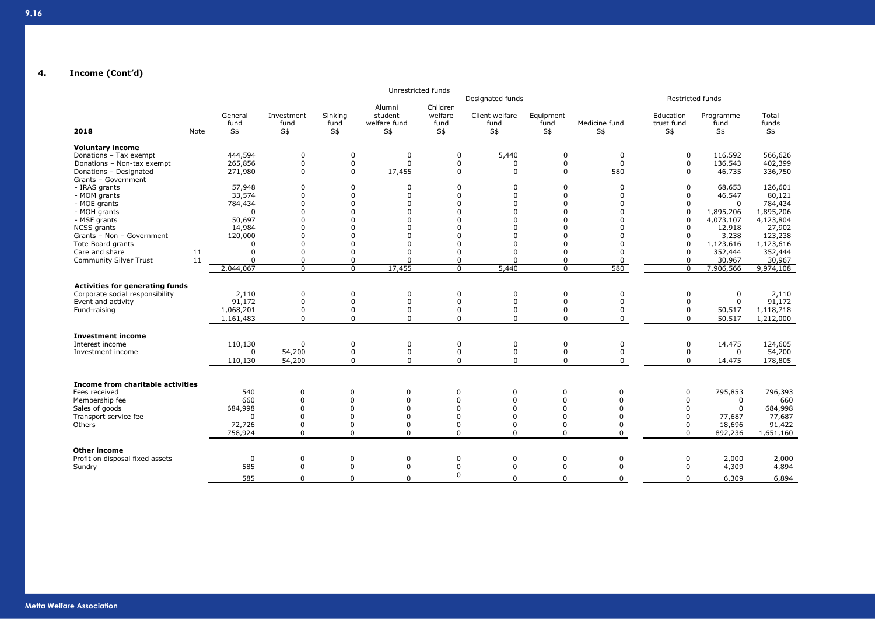|--|

*Audited Financial Statements*

**4. Income (Cont'd)**

| Education      | Programme | Total     |  |
|----------------|-----------|-----------|--|
| trust fund     | fund      | funds     |  |
| S\$            | S\$       | S\$       |  |
| 0              | 116,592   | 566,626   |  |
| 0              | 136,543   | 402,399   |  |
| $\overline{0}$ | 46,735    | 336,750   |  |
| 0              | 68,653    | 126,601   |  |
| $\overline{0}$ | 46,547    | 80,121    |  |
| $\overline{0}$ | 0         | 784,434   |  |
| 0              | 1,895,206 | 1,895,206 |  |
| 0              | 4,073,107 | 4,123,804 |  |
| $\overline{0}$ | 12,918    | 27,902    |  |
| 0              | 3,238     | 123,238   |  |
| 0              | 1,123,616 | 1,123,616 |  |
| 0              | 352,444   | 352,444   |  |
| 0              | 30,967    | 30,967    |  |
| 0              | 7,906,566 | 9,974,108 |  |
| 0              | 0         | 2,110     |  |
| 0              | 0         | 91,172    |  |
| $\overline{0}$ | 50,517    | 1,118,718 |  |
| 0              | 50,517    | 1,212,000 |  |
| 0              | 14,475    | 124,605   |  |
| 0              | O         | 54,200    |  |
| 0              | 14,475    | 178,805   |  |
| 0              | 795,853   | 796,393   |  |
| 0              | 0         | 660       |  |
| 0              | 0         | 684,998   |  |
| 0              | 77,687    | 77,687    |  |
| 0              | 18,696    | 91,422    |  |
| 0              | 892,236   | 1,651,160 |  |
| 0              | 2,000     | 2,000     |  |
| 0              | 4,309     | 4,894     |  |
|                |           |           |  |

|                                                                                                                 |      |                                           |                                              |                                                        |                                                     | Unrestricted funds                  |                                       |                                              |                           |                                 |                            |                                           |
|-----------------------------------------------------------------------------------------------------------------|------|-------------------------------------------|----------------------------------------------|--------------------------------------------------------|-----------------------------------------------------|-------------------------------------|---------------------------------------|----------------------------------------------|---------------------------|---------------------------------|----------------------------|-------------------------------------------|
|                                                                                                                 |      |                                           |                                              |                                                        |                                                     |                                     | Designated funds                      |                                              |                           |                                 | Restricted funds           |                                           |
| 2018                                                                                                            | Note | General<br>fund<br>$S\$                   | Investment<br>fund<br>$S\$                   | Sinking<br>fund<br>$S*$                                | Alumni<br>student<br>welfare fund<br>S <sup>4</sup> | Children<br>welfare<br>fund<br>$S\$ | Client welfare<br>fund<br>$S\$        | Equipment<br>fund<br>$S\$                    | Medicine fund<br>$S\$     | Education<br>trust fund<br>$S\$ | Programme<br>fund<br>$S\$  | Total<br>funds<br>S <sup>4</sup>          |
| <b>Voluntary income</b>                                                                                         |      |                                           |                                              |                                                        |                                                     |                                     |                                       |                                              |                           |                                 |                            |                                           |
| Donations - Tax exempt                                                                                          |      | 444,594                                   | 0                                            | $\mathbf 0$                                            | 0                                                   | 0                                   | 5,440                                 | 0                                            | 0                         | 0                               | 116,592                    | 566,626                                   |
| Donations - Non-tax exempt                                                                                      |      | 265,856                                   | $\boldsymbol{0}$                             | $\pmb{0}$                                              | $\mathbf 0$                                         | 0                                   | 0                                     | 0                                            | $\overline{0}$            | 0                               | 136,543                    | 402,399                                   |
| Donations - Designated<br>Grants - Government                                                                   |      | 271,980                                   | $\mathbf 0$                                  | $\mathbf 0$                                            | 17,455                                              | $\mathbf{0}$                        | $\mathbf 0$                           | 0                                            | 580                       | 0                               | 46,735                     | 336,750                                   |
| - IRAS grants                                                                                                   |      | 57,948                                    | 0                                            | 0                                                      | 0                                                   | 0                                   | 0                                     | 0                                            | 0                         | 0                               | 68,653                     | 126,601                                   |
| - MOM grants                                                                                                    |      | 33,574                                    | $\mathbf 0$                                  | $\mathbf 0$                                            | 0                                                   | $\Omega$                            | $\Omega$                              | $\mathbf{0}$                                 |                           |                                 | 46,547                     | 80,121                                    |
| - MOE grants                                                                                                    |      | 784,434                                   | $\Omega$                                     | $\Omega$                                               | $\Omega$                                            |                                     |                                       | $\Omega$                                     |                           |                                 | 0                          | 784,434                                   |
| - MOH grants                                                                                                    |      | 0                                         |                                              |                                                        |                                                     |                                     |                                       |                                              |                           |                                 | 1,895,206                  | 1,895,206                                 |
| - MSF grants                                                                                                    |      | 50,697                                    |                                              |                                                        |                                                     |                                     |                                       |                                              |                           |                                 | 4,073,107                  | 4,123,804                                 |
| NCSS grants                                                                                                     |      | 14,984                                    |                                              |                                                        |                                                     |                                     |                                       |                                              |                           |                                 | 12,918                     | 27,902                                    |
| Grants - Non - Government                                                                                       |      | 120,000                                   |                                              |                                                        |                                                     |                                     |                                       |                                              |                           |                                 | 3,238                      | 123,238                                   |
| Tote Board grants                                                                                               |      |                                           |                                              |                                                        |                                                     |                                     |                                       |                                              |                           |                                 | 1,123,616                  | 1,123,616                                 |
| Care and share                                                                                                  | 11   |                                           | $\Omega$                                     |                                                        | $\Omega$                                            |                                     |                                       |                                              |                           |                                 | 352,444                    | 352,444                                   |
| <b>Community Silver Trust</b>                                                                                   | 11   | U                                         | $\boldsymbol{0}$                             | $\mathbf 0$                                            |                                                     |                                     | $\Omega$                              | $\mathbf 0$                                  |                           | 0                               | 30,967                     | 30,967                                    |
|                                                                                                                 |      | 2,044,067                                 | $\mathbf 0$                                  | $\mathbf{0}$                                           | 17,455                                              | $\mathbf 0$                         | 5,440                                 | $\mathbf 0$                                  | 580                       | $\Omega$                        | 7,906,566                  | 9,974,108                                 |
| <b>Activities for generating funds</b><br>Corporate social responsibility<br>Event and activity<br>Fund-raising |      | 2,110<br>91,172<br>1,068,201<br>1,161,483 | 0<br>$\mathbf 0$<br>$\pmb{0}$<br>$\mathbf 0$ | $\mathbf 0$<br>$\Omega$<br>$\mathbf 0$<br>$\mathbf{0}$ | 0<br>$\mathbf{0}$<br>$\Omega$<br>$\Omega$           | $\mathbf 0$<br>$\Omega$             | 0<br>$\Omega$<br>$\Omega$<br>$\Omega$ | 0<br>$\mathbf 0$<br>$\pmb{0}$<br>$\mathbf 0$ | 0<br>$\Omega$<br>$\Omega$ | 0<br>$\Omega$                   | 0<br>0<br>50,517<br>50,517 | 2,110<br>91,172<br>1,118,718<br>1,212,000 |
| <b>Investment income</b>                                                                                        |      |                                           |                                              |                                                        |                                                     |                                     |                                       |                                              |                           |                                 |                            |                                           |
| Interest income                                                                                                 |      | 110,130                                   | $\mathbf 0$                                  | $\mathbf 0$                                            | 0                                                   | $\mathbf 0$                         | 0                                     | 0                                            | 0                         | 0                               | 14,475                     | 124,605                                   |
| Investment income                                                                                               |      | $\Omega$                                  | 54,200                                       | $\mathbf 0$                                            | $\Omega$                                            |                                     | $\Omega$                              | $\mathbf 0$                                  |                           |                                 |                            | 54,200                                    |
|                                                                                                                 |      | 110,130                                   | 54,200                                       | $\mathbf 0$                                            | $\mathbf 0$                                         | $\mathbf 0$                         | $\mathbf 0$                           | $\mathbf 0$                                  | $\mathbf 0$               | $\mathbf 0$                     | 14,475                     | 178,805                                   |
| <b>Income from charitable activities</b>                                                                        |      |                                           |                                              |                                                        |                                                     |                                     |                                       |                                              |                           |                                 |                            |                                           |
| Fees received                                                                                                   |      | 540                                       | $\Omega$                                     |                                                        | 0                                                   | $\Omega$                            | 0                                     | $\mathbf 0$                                  | 0                         | 0                               | 795,853                    | 796,393                                   |
| Membership fee                                                                                                  |      | 660                                       |                                              |                                                        | $\Omega$                                            | $\Omega$                            |                                       | $\Omega$                                     | $\Omega$                  |                                 | $\Omega$                   | 660                                       |
| Sales of goods                                                                                                  |      | 684,998                                   | $\Omega$                                     | $\Omega$                                               | $\mathbf{0}$                                        | $\Omega$                            | $\Omega$                              | $\Omega$                                     | $\Omega$                  |                                 | 0                          | 684,998                                   |
| Transport service fee                                                                                           |      | $\mathbf 0$                               | 0                                            | $\Omega$                                               | $\mathbf 0$                                         | $\Omega$                            | 0                                     | 0                                            | 0                         | 0                               | 77,687                     | 77,687                                    |
| Others                                                                                                          |      | 72,726                                    | $\mathbf 0$                                  | $\Omega$                                               | $\mathbf 0$                                         | $\mathbf 0$                         | 0                                     | $\mathbf 0$                                  | 0                         | $\pmb{0}$                       | 18,696                     | 91,422                                    |
|                                                                                                                 |      | 758,924                                   | $\mathbf 0$                                  | $\mathbf 0$                                            | $\mathbf 0$                                         | $\boldsymbol{0}$                    | $\mathbf 0$                           | $\mathbf 0$                                  | $\mathbf 0$               | $\mathbf 0$                     | 892,236                    | 1,651,160                                 |
| <b>Other income</b>                                                                                             |      |                                           |                                              |                                                        |                                                     |                                     |                                       |                                              |                           |                                 |                            |                                           |
| Profit on disposal fixed assets                                                                                 |      | $\mathbf 0$                               | $\pmb{0}$                                    | $\Omega$                                               | $\mathbf 0$                                         | 0                                   | 0                                     | $\mathbf 0$                                  | 0                         | $\mathbf 0$                     | 2,000                      | 2,000                                     |
| Sundry                                                                                                          |      | 585                                       | $\mathbf 0$                                  | $\Omega$                                               | $\mathbf 0$                                         | 0                                   | 0                                     | $\mathbf 0$                                  | 0                         | $\mathbf 0$                     | 4,309                      | 4,894                                     |
|                                                                                                                 |      | 585                                       | $\mathbf 0$                                  | $\mathbf 0$                                            | $\mathbf 0$                                         | $\boldsymbol{0}$                    | $\overline{0}$                        | $\mathsf 0$                                  | $\overline{0}$            | $\mathbf 0$                     | 6,309                      | 6,894                                     |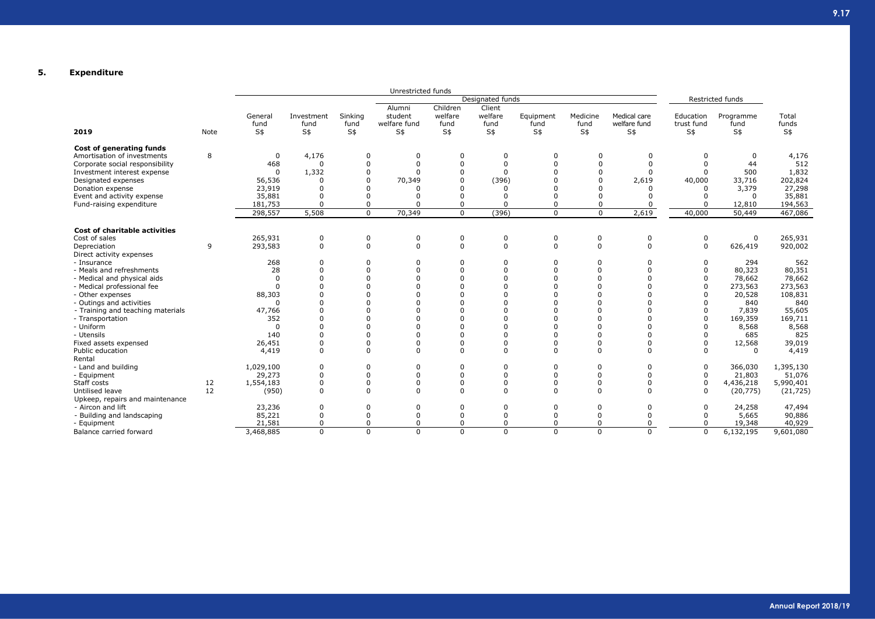# **5. Expenditure**

| Education   | Programme | Total     |
|-------------|-----------|-----------|
| trust fund  | fund      | funds     |
| S\$         | S\$       | S\$       |
| 0           | 0         | 4,176     |
| 0           | 44        | 512       |
| 0           | 500       | 1,832     |
| 40,000      | 33,716    | 202,824   |
| 0           | 3,379     | 27,298    |
| 0           | 0         | 35,881    |
| 0           | 12,810    | 194,563   |
| 40,000      | 50,449    | 467,086   |
|             |           |           |
| 0           | 0         | 265,931   |
| 0           | 626,419   | 920,002   |
| 0           | 294       | 562       |
| 0           | 80,323    | 80,351    |
| 0           | 78,662    | 78,662    |
| 0           | 273,563   | 273,563   |
| 0           | 20,528    | 108,831   |
| 0           | 840       | 840       |
| 0           | 7,839     | 55,605    |
| 0           | 169,359   | 169,711   |
| 0           | 8,568     | 8,568     |
| 0           | 685       | 825       |
| 0           | 12,568    | 39,019    |
| 0           | Ω         | 4,419     |
| 0           | 366,030   | 1,395,130 |
| 0           | 21,803    | 51,076    |
| 0           | 4,436,218 | 5,990,401 |
| 0           | (20, 775) | (21, 725) |
| 0           | 24,258    | 47,494    |
| 0           | 5,665     | 90,886    |
| $\mathbf 0$ | 19,348    | 40,929    |
| 0           | 6,132,195 | 9,601,080 |

|                                      |      |              |                |                  | Unrestricted funds |              |                  |              |                |                |                  |              |           |
|--------------------------------------|------|--------------|----------------|------------------|--------------------|--------------|------------------|--------------|----------------|----------------|------------------|--------------|-----------|
|                                      |      |              |                |                  |                    |              | Designated funds |              |                |                | Restricted funds |              |           |
|                                      |      |              |                |                  | Alumni             | Children     | Client           |              |                |                |                  |              |           |
|                                      |      | General      | Investment     | Sinking          | student            | welfare      | welfare          | Equipment    | Medicine       | Medical care   | Education        | Programme    | Total     |
|                                      |      | fund         | fund           | fund             | welfare fund       | fund         | fund             | fund         | fund           | welfare fund   | trust fund       | fund         | funds     |
| 2019                                 | Note | $S\$         | S\$            | $S\$             | $S\$               | $S\$         | $S\$             | $S\$         | $S\$           | $S\$           | $S\$             | $S$ \$       | $S\$      |
| <b>Cost of generating funds</b>      |      |              |                |                  |                    |              |                  |              |                |                |                  |              |           |
| Amortisation of investments          | 8    | $\mathbf 0$  | 4,176          | $\Omega$         | $\Omega$           | $\mathbf 0$  | $\mathbf 0$      | $\Omega$     | $\mathbf{0}$   | 0              | $\Omega$         | $\mathbf 0$  | 4,176     |
| Corporate social responsibility      |      | 468          | $\Omega$       | 0                |                    | $\mathbf{0}$ | $\overline{0}$   | $\Omega$     | $\Omega$       | $\Omega$       | $\Omega$         | 44           | 512       |
| Investment interest expense          |      | $\Omega$     | 1,332          | 0                |                    | $\Omega$     | $\mathbf{0}$     |              | $\Omega$       | $\Omega$       | $\mathbf{0}$     | 500          | 1,832     |
| Designated expenses                  |      | 56,536       | $\Omega$       |                  | 70,349             | $\Omega$     | (396)            |              | $\Omega$       | 2,619          | 40,000           | 33,716       | 202,824   |
| Donation expense                     |      | 23,919       | $\Omega$       |                  |                    | $\Omega$     | 0                |              | $\Omega$       | $\Omega$       | $\Omega$         | 3,379        | 27,298    |
| Event and activity expense           |      | 35,881       |                | $\Omega$         |                    | $\Omega$     | $\Omega$         |              | $\Omega$       |                | $\Omega$         | $\mathbf{0}$ | 35,881    |
| Fund-raising expenditure             |      | 181,753      | $\Omega$       | $\Omega$         | $\Omega$           | $\Omega$     | $\mathbf{0}$     | $\Omega$     | 0              | $\mathbf{0}$   | $\Omega$         | 12,810       | 194,563   |
|                                      |      | 298,557      | 5,508          | $\overline{0}$   | 70,349             | $\Omega$     | (396)            | $\mathbf{0}$ | $\mathbf{0}$   | 2,619          | 40,000           | 50,449       | 467,086   |
| <b>Cost of charitable activities</b> |      |              |                |                  |                    |              |                  |              |                |                |                  |              |           |
| Cost of sales                        |      | 265,931      | $\mathbf 0$    | $\pmb{0}$        | $\pmb{0}$          | $\pmb{0}$    | $\pmb{0}$        | $\pmb{0}$    | $\pmb{0}$      | $\mathbf 0$    | 0                | $\mathbf 0$  | 265,931   |
| Depreciation                         | 9    | 293,583      | $\mathbf 0$    | $\boldsymbol{0}$ | $\mathbf 0$        | $\mathbf 0$  | $\mathbf 0$      | $\mathbf 0$  | $\mathbf 0$    | $\mathbf 0$    | $\mathbf 0$      | 626,419      | 920,002   |
| Direct activity expenses             |      |              |                |                  |                    |              |                  |              |                |                |                  |              |           |
| - Insurance                          |      | 268          | $\overline{0}$ | 0                |                    | 0            | $\Omega$         | O            | 0              | $\Omega$       | 0                | 294          | 562       |
| - Meals and refreshments             |      | 28           | $\overline{0}$ |                  |                    | $\Omega$     | $\Omega$         | $\Omega$     | $\Omega$       | $\Omega$       | 0                | 80,323       | 80,351    |
| - Medical and physical aids          |      | $\Omega$     | $\Omega$       |                  |                    | $\Omega$     | $\Omega$         |              | $\Omega$       | $\Omega$       | $\Omega$         | 78,662       | 78,662    |
| - Medical professional fee           |      | $\Omega$     | $\Omega$       |                  |                    | $\Omega$     | $\Omega$         |              |                | $\Omega$       | $\Omega$         | 273,563      | 273,563   |
| - Other expenses                     |      | 88,303       | $\Omega$       |                  |                    | $\Omega$     | $\Omega$         |              | $\Omega$       | $\Omega$       | $\mathbf{0}$     | 20,528       | 108,831   |
| - Outings and activities             |      | $\mathbf{0}$ | $\overline{0}$ |                  |                    | $\Omega$     | $\Omega$         |              | $\Omega$       | $\mathbf{0}$   | $\Omega$         | 840          | 840       |
| - Training and teaching materials    |      | 47,766       | $\overline{0}$ |                  |                    | $\Omega$     | $\Omega$         |              | $\Omega$       | $\Omega$       | $\Omega$         | 7,839        | 55,605    |
| - Transportation                     |      | 352          | $\overline{0}$ |                  |                    | $\Omega$     | $\Omega$         |              | $\Omega$       | $\Omega$       | $\Omega$         | 169,359      | 169,711   |
| - Uniform                            |      | $\Omega$     | $\overline{0}$ |                  |                    | $\Omega$     | $\mathbf{0}$     |              | $\Omega$       | $\Omega$       | $\Omega$         | 8,568        | 8,568     |
| - Utensils                           |      | 140          | $\overline{0}$ |                  |                    | $\Omega$     | $\overline{0}$   |              | $\Omega$       | $\mathbf{0}$   | 0                | 685          | 825       |
| Fixed assets expensed                |      | 26,451       | $\pmb{0}$      |                  |                    | $\Omega$     | $\mathbf 0$      |              | $\Omega$       | $\mathbf 0$    | 0                | 12,568       | 39,019    |
| Public education                     |      | 4,419        | $\mathbf{0}$   | $\Omega$         | $\Omega$           | $\Omega$     | $\Omega$         | $\Omega$     | $\Omega$       | $\Omega$       | $\mathbf 0$      | $\Omega$     | 4,419     |
| Rental                               |      |              |                |                  |                    |              |                  |              |                |                |                  |              |           |
| - Land and building                  |      | 1,029,100    | $\mathbf 0$    | $\Omega$         | 0                  | $\Omega$     | $\mathbf 0$      | $\Omega$     | $\Omega$       | $\mathbf 0$    | 0                | 366,030      | 1,395,130 |
| - Equipment                          |      | 29,273       | $\pmb{0}$      | 0                |                    | $\mathbf{0}$ | $\mathbf 0$      | $\Omega$     | $\Omega$       | $\mathbf{0}$   | $\mathbf 0$      | 21,803       | 51,076    |
| Staff costs                          | 12   | 1,554,183    | $\mathbf 0$    | $\Omega$         | $\Omega$           | $\Omega$     | $\mathbf 0$      | $\mathbf{0}$ | $\mathbf 0$    | $\mathbf 0$    | 0                | 4,436,218    | 5,990,401 |
| Untilised leave                      | 12   | (950)        | $\mathbf 0$    | $\Omega$         | $\Omega$           | $\Omega$     | $\mathbf 0$      | $\Omega$     | $\mathbf 0$    | $\mathbf 0$    | 0                | (20, 775)    | (21, 725) |
| Upkeep, repairs and maintenance      |      |              |                |                  |                    |              |                  |              |                |                |                  |              |           |
| - Aircon and lift                    |      | 23,236       | $\mathbf 0$    | $\Omega$         | $\Omega$           | $\Omega$     | $\mathbf 0$      | $\Omega$     | $\Omega$       | $\mathbf{0}$   | 0                | 24,258       | 47,494    |
| - Building and landscaping           |      | 85,221       | $\pmb{0}$      | $\mathbf 0$      | $\Omega$           | $\Omega$     | $\mathbf 0$      | $\mathbf{0}$ | $\Omega$       | $\mathbf{0}$   | 0                | 5,665        | 90,886    |
| - Equipment                          |      | 21,581       | $\mathbf 0$    | $\Omega$         | $\Omega$           | $\mathbf{0}$ | $\mathbf 0$      | $\mathbf{0}$ | $\mathbf 0$    | $\mathbf 0$    | $\mathbf{0}$     | 19,348       | 40,929    |
| Balance carried forward              |      | 3,468,885    | $\overline{0}$ | $\overline{0}$   | $\mathbf{0}$       | $\Omega$     | $\overline{0}$   | $\Omega$     | $\overline{0}$ | $\overline{0}$ | $\overline{0}$   | 6,132,195    | 9,601,080 |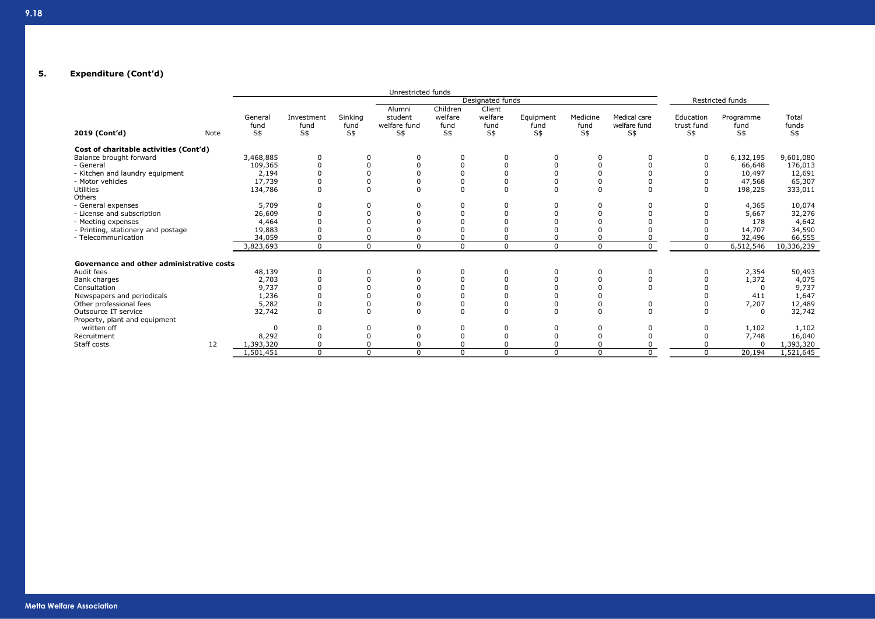# **5. Expenditure (Cont'd)**

| Restricted funds |                          |                                           |
|------------------|--------------------------|-------------------------------------------|
| Education        | Programme                | Total                                     |
| trust fund       | fund                     | funds                                     |
| S\$              | S\$                      | S\$                                       |
| 0                | 6,132,195                | 9,601,080                                 |
| 0                | 66,648                   | 176,013                                   |
| 0                | 10,497                   | 12,691                                    |
| 0                | 47,568                   | 65,307                                    |
| 0                | 198,225                  | 333,011                                   |
| 0                | 4,365                    | 10,074                                    |
| 0                | 5,667                    | 32,276                                    |
| 0                | 178                      | 4,642                                     |
| 0                | 14,707                   | 34,590                                    |
| 0                | 32,496                   | 66,555                                    |
| 0                | 6,512,546                | 10,336,239                                |
| 0                | 2,354                    | 50,493                                    |
| 0                | 1,372                    | 4,075                                     |
| 0                | 0                        | 9,737                                     |
| 0                | 411                      | 1,647                                     |
| 0                | 7,207                    | 12,489                                    |
| 0                | 0                        | 32,742                                    |
| 0<br>0<br>0<br>0 | 1,102<br>7,748<br>20,194 | 1,102<br>16,040<br>1,393,320<br>1,521,645 |
|                  |                          |                                           |

|                                           |      |                           |                            |                         | Unrestricted funds                          |                                               |                                     |                           |                                    |                                      |                                 |                           |                                  |
|-------------------------------------------|------|---------------------------|----------------------------|-------------------------|---------------------------------------------|-----------------------------------------------|-------------------------------------|---------------------------|------------------------------------|--------------------------------------|---------------------------------|---------------------------|----------------------------------|
|                                           |      |                           |                            |                         |                                             |                                               | Designated funds                    |                           |                                    |                                      |                                 | Restricted funds          |                                  |
| 2019 (Cont'd)                             | Note | General<br>fund<br>$S$ \$ | Investment<br>fund<br>$S\$ | Sinking<br>fund<br>$S\$ | Alumni<br>student<br>welfare fund<br>$S$ \$ | Children<br>welfare<br>fund<br>S <sup>4</sup> | Client<br>welfare<br>fund<br>$S$ \$ | Equipment<br>fund<br>$S\$ | Medicine<br>fund<br>S <sup>4</sup> | Medical care<br>welfare fund<br>$S\$ | Education<br>trust fund<br>$S\$ | Programme<br>fund<br>$S\$ | Total<br>funds<br>S <sub>5</sub> |
| Cost of charitable activities (Cont'd)    |      |                           |                            |                         |                                             |                                               |                                     |                           |                                    |                                      |                                 |                           |                                  |
| Balance brought forward                   |      | 3,468,885                 | 0                          |                         |                                             |                                               |                                     |                           |                                    | ∩                                    | 0                               | 6,132,195                 | 9,601,080                        |
| - General                                 |      | 109,365                   | $\Omega$                   |                         |                                             |                                               |                                     |                           |                                    |                                      |                                 | 66,648                    | 176,013                          |
| - Kitchen and laundry equipment           |      | 2,194                     |                            |                         |                                             |                                               |                                     |                           |                                    |                                      |                                 | 10,497                    | 12,691                           |
| - Motor vehicles                          |      | 17,739                    |                            |                         |                                             |                                               |                                     |                           |                                    |                                      | 0                               | 47,568                    | 65,307                           |
| <b>Utilities</b>                          |      | 134,786                   | $\Omega$                   |                         | $\Omega$                                    |                                               | $\mathbf{0}$                        |                           | 0                                  | $\Omega$                             | 0                               | 198,225                   | 333,011                          |
| Others                                    |      |                           |                            |                         |                                             |                                               |                                     |                           |                                    |                                      |                                 |                           |                                  |
| - General expenses                        |      | 5,709                     | 0                          |                         | 0                                           |                                               | 0                                   |                           | 0                                  | $\Omega$                             | 0                               | 4,365                     | 10,074                           |
| - License and subscription                |      | 26,609                    |                            |                         |                                             |                                               |                                     |                           |                                    |                                      | 0                               | 5,667                     | 32,276                           |
| - Meeting expenses                        |      | 4,464                     |                            |                         |                                             |                                               |                                     |                           |                                    |                                      |                                 | 178                       | 4,642                            |
| - Printing, stationery and postage        |      | 19,883                    |                            |                         |                                             |                                               |                                     |                           |                                    | $\Omega$                             |                                 | 14,707                    | 34,590                           |
| - Telecommunication                       |      | 34,059                    | $\Omega$                   |                         |                                             |                                               |                                     |                           | O                                  | $\mathbf 0$                          |                                 | 32,496                    | 66,555                           |
|                                           |      | 3,823,693                 | $\mathbf 0$                | $\mathbf{0}$            | $\overline{0}$                              | $\mathbf 0$                                   | $\overline{0}$                      | $\Omega$                  | $\mathbf 0$                        | $\mathbf 0$                          | $\mathbf 0$                     | 6,512,546                 | 10,336,239                       |
| Governance and other administrative costs |      |                           |                            |                         |                                             |                                               |                                     |                           |                                    |                                      |                                 |                           |                                  |
| Audit fees                                |      | 48,139                    | 0                          |                         | 0                                           |                                               | $\Omega$                            |                           | 0                                  | $\Omega$                             | 0                               | 2,354                     | 50,493                           |
| Bank charges                              |      | 2,703                     | $\Omega$                   |                         |                                             |                                               |                                     |                           |                                    | $\mathbf{0}$                         | 0                               | 1,372                     | 4,075                            |
| Consultation                              |      | 9,737                     |                            |                         |                                             |                                               |                                     |                           |                                    | $\mathbf{0}$                         |                                 |                           | 9,737                            |
| Newspapers and periodicals                |      | 1,236                     |                            |                         |                                             |                                               | $\Omega$                            |                           |                                    |                                      |                                 | 411                       | 1,647                            |
| Other professional fees                   |      | 5,282                     | $\Omega$                   |                         |                                             |                                               | $\mathbf{0}$                        |                           |                                    | $\mathbf{0}$                         | 0                               | 7,207                     | 12,489                           |
| Outsource IT service                      |      | 32,742                    | $\Omega$                   |                         | 0                                           |                                               | $\mathbf{0}$                        |                           | 0                                  | $\mathbf{0}$                         | 0                               | $\Omega$                  | 32,742                           |
| Property, plant and equipment             |      |                           |                            |                         |                                             |                                               |                                     |                           |                                    |                                      |                                 |                           |                                  |
| written off                               |      | 0                         | 0                          |                         | 0                                           |                                               | 0                                   |                           | 0                                  | ∩                                    | 0                               | 1,102                     | 1,102                            |
| Recruitment                               |      | 8,292                     | $\Omega$                   |                         |                                             |                                               | $\Omega$                            |                           |                                    | $\Omega$                             | 0                               | 7,748                     | 16,040                           |
| Staff costs                               | 12   | 1,393,320                 |                            |                         |                                             |                                               |                                     |                           |                                    | $\Omega$                             | 0                               |                           | 1,393,320                        |
|                                           |      | 1,501,451                 | $\Omega$                   | 0                       | $\Omega$                                    | $\Omega$                                      | $\mathbf 0$                         | $\Omega$                  | $\mathbf 0$                        | $\mathbf 0$                          | $\mathbf 0$                     | 20,194                    | 1,521,645                        |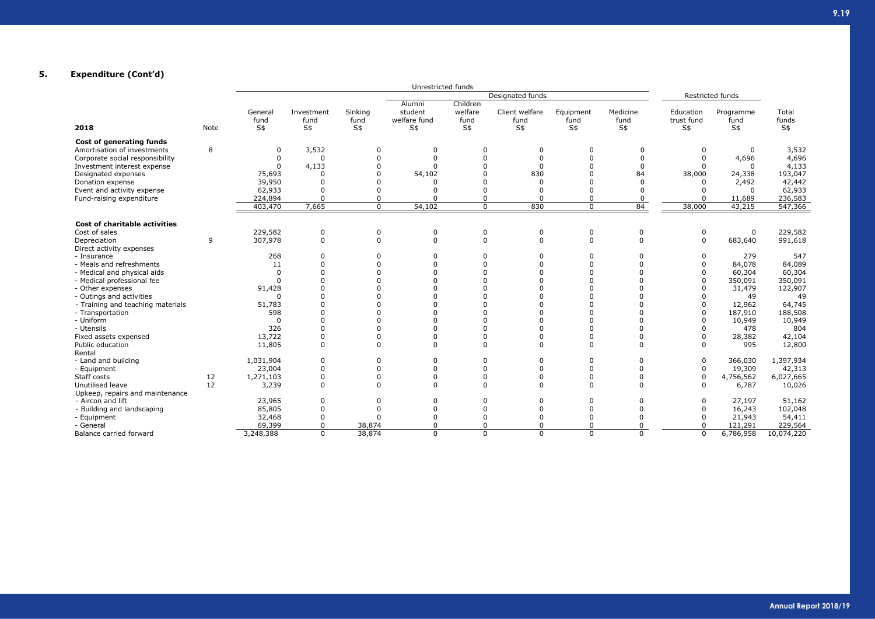# **5. Expenditure (Cont'd)**

|    | Restricted funds |           |            |
|----|------------------|-----------|------------|
|    | Education        | Programme | Total      |
|    | trust fund       | fund      | funds      |
|    | $S\$             | S\$       | S\$        |
| 0  | 0                | 0         | 3,532      |
| 0  | 0                | 4,696     | 4,696      |
| 0  | 0                | 0         | 4,133      |
| 84 | 38,000           | 24,338    | 193,047    |
| 0  | 0                | 2,492     | 42,442     |
| 0  | 0                | 0         | 62,933     |
| 0  | 0                | 11,689    | 236,583    |
| 84 | 38,000           | 43,215    | 547,366    |
| 0  | 0                | 0         | 229,582    |
| 0  | 0                | 683,640   | 991,618    |
| 0  | 0                | 279       | 547        |
| 0  | 0                | 84,078    | 84,089     |
| 0  | 0                | 60,304    | 60,304     |
| 0  | 0                | 350,091   | 350,091    |
| 0  | 0                | 31,479    | 122,907    |
| 0  | 0                | 49        | 49         |
| 0  | 0                | 12,962    | 64,745     |
| 0  | 0                | 187,910   | 188,508    |
| 0  | 0                | 10,949    | 10,949     |
| 0  | 0                | 478       | 804        |
| 0  | 0                | 28,382    | 42,104     |
| 0  | 0                | 995       | 12,800     |
| 0  | 0                | 366,030   | 1,397,934  |
| 0  | 0                | 19,309    | 42,313     |
| 0  | 0                | 4,756,562 | 6,027,665  |
| 0  | 0                | 6,787     | 10,026     |
| 0  | 0                | 27,197    | 51,162     |
| 0  | 0                | 16,243    | 102,048    |
| 0  | 0                | 21,943    | 54,411     |
| 0  | 0                | 121,291   | 229,564    |
| 0  | 0                | 6,786,958 | 10,074,220 |

|                                      |      |                         |                            |                                   | Unrestricted funds                          |                                     |                                |                           |                          |                                 |                           |                        |
|--------------------------------------|------|-------------------------|----------------------------|-----------------------------------|---------------------------------------------|-------------------------------------|--------------------------------|---------------------------|--------------------------|---------------------------------|---------------------------|------------------------|
|                                      |      |                         |                            |                                   |                                             |                                     | Designated funds               |                           |                          |                                 | Restricted funds          |                        |
| 2018                                 | Note | General<br>fund<br>$S\$ | Investment<br>fund<br>$S\$ | Sinking<br>fund<br>S <sub>5</sub> | Alumni<br>student<br>welfare fund<br>$S$ \$ | Children<br>welfare<br>fund<br>$S\$ | Client welfare<br>fund<br>$S\$ | Equipment<br>fund<br>$S\$ | Medicine<br>fund<br>$S\$ | Education<br>trust fund<br>$S\$ | Programme<br>fund<br>$S\$ | Total<br>funds<br>$S\$ |
| <b>Cost of generating funds</b>      |      |                         |                            |                                   |                                             |                                     |                                |                           |                          |                                 |                           |                        |
| Amortisation of investments          | 8    |                         | 3,532                      | 0                                 | $\Omega$                                    | $\Omega$                            | 0                              | $\Omega$                  | ŋ                        | 0                               | $\Omega$                  | 3,532                  |
| Corporate social responsibility      |      |                         |                            |                                   | $\Omega$                                    | $\Omega$                            | $\Omega$                       | $\Omega$                  | $\Omega$                 | 0                               | 4,696                     | 4,696                  |
| Investment interest expense          |      |                         | 4,133                      |                                   | $\Omega$                                    |                                     | $\Omega$                       | $\Omega$                  | $\Omega$                 |                                 | $\Omega$                  | 4,133                  |
| Designated expenses                  |      | 75,693                  |                            |                                   | 54,102                                      |                                     | 830                            | $\Omega$                  | 84                       | 38,000                          | 24,338                    | 193,047                |
| Donation expense                     |      | 39,950                  |                            |                                   |                                             |                                     |                                | $\Omega$                  | $\Omega$                 |                                 | 2,492                     | 42,442                 |
| Event and activity expense           |      | 62,933                  |                            |                                   |                                             | $\Omega$                            | O                              | $\Omega$                  | 0                        |                                 | $\Omega$                  | 62,933                 |
| Fund-raising expenditure             |      | 224,894                 |                            | 0                                 | $\Omega$                                    | $\mathbf{0}$                        | O                              | $\mathbf 0$               | $\Omega$                 |                                 | 11,689                    | 236,583                |
|                                      |      | 403,470                 | 7,665                      | $\mathbf 0$                       | 54,102                                      | $\mathbf{0}$                        | 830                            | $\overline{0}$            | 84                       | 38,000                          | 43,215                    | 547,366                |
| <b>Cost of charitable activities</b> |      |                         |                            |                                   |                                             |                                     |                                |                           |                          |                                 |                           |                        |
| Cost of sales                        |      | 229,582                 | $\mathbf 0$                | $\pmb{0}$                         | $\pmb{0}$                                   | $\pmb{0}$                           | 0                              | $\mathbf 0$               | $\pmb{0}$                | 0                               | $\mathbf 0$               | 229,582                |
| Depreciation                         | 9    | 307,978                 | 0                          | $\mathbf{0}$                      | $\mathbf{0}$                                | $\mathbf{0}$                        | 0                              | 0                         | $\mathbf{0}$             | 0                               | 683,640                   | 991,618                |
| Direct activity expenses             |      |                         |                            |                                   |                                             |                                     |                                |                           |                          |                                 |                           |                        |
| - Insurance                          |      | 268                     | 0                          | 0                                 | 0                                           | $\Omega$                            | 0                              | $\mathbf 0$               | $\Omega$                 | 0                               | 279                       | 547                    |
| - Meals and refreshments             |      | 11                      | $\Omega$                   | 0                                 | $\Omega$                                    | $\Omega$                            | $\Omega$                       | $\Omega$                  | $\Omega$                 | $\Omega$                        | 84,078                    | 84,089                 |
| - Medical and physical aids          |      |                         | $\Omega$                   |                                   | $\Omega$                                    | ∩                                   | U                              | $\Omega$                  |                          | U                               | 60,304                    | 60,304                 |
| - Medical professional fee           |      |                         |                            |                                   |                                             | $\Omega$                            | O                              | $\Omega$                  |                          |                                 | 350,091                   | 350,091                |
| - Other expenses                     |      | 91,428                  |                            |                                   |                                             |                                     | $\Omega$                       | $\Omega$                  |                          |                                 | 31,479                    | 122,907                |
| - Outings and activities             |      |                         | $\Omega$                   |                                   |                                             | ∩                                   |                                | $\Omega$                  |                          |                                 | 49                        | 49                     |
| - Training and teaching materials    |      | 51,783                  | $\Omega$                   |                                   |                                             |                                     |                                | $\Omega$                  |                          |                                 | 12,962                    | 64,745                 |
| - Transportation                     |      | 598                     |                            |                                   |                                             |                                     |                                | $\Omega$                  |                          |                                 | 187,910                   | 188,508                |
| - Uniform                            |      |                         | $\Omega$                   |                                   |                                             | $\Omega$                            |                                | $\Omega$                  |                          |                                 | 10,949                    | 10,949                 |
| - Utensils                           |      | 326                     | $\Omega$                   |                                   |                                             | $\Omega$                            | $\Omega$                       | $\Omega$                  |                          |                                 | 478                       | 804                    |
| Fixed assets expensed                |      | 13,722                  | $\mathbf{0}$               | 0                                 |                                             | $\Omega$                            | 0                              | $\Omega$                  |                          |                                 | 28,382                    | 42,104                 |
| Public education<br>Rental           |      | 11,805                  | $\Omega$                   | 0                                 | $\Omega$                                    | $\Omega$                            | 0                              | $\Omega$                  | $\Omega$                 |                                 | 995                       | 12,800                 |
| - Land and building                  |      | 1,031,904               | 0                          | 0                                 |                                             | $\mathbf{0}$                        | 0                              | $\mathbf 0$               | $\Omega$                 | 0                               | 366,030                   | 1,397,934              |
| - Equipment                          |      | 23,004                  | $\mathbf 0$                | 0                                 | $\Omega$                                    | $\mathbf{0}$                        | 0                              | $\mathbf 0$               | $\Omega$                 | $\Omega$                        | 19,309                    | 42,313                 |
| Staff costs                          | 12   | 1,271,103               | $\mathbf{0}$               | 0                                 | $\Omega$                                    | $\mathbf{0}$                        | 0                              | $\Omega$                  | $\Omega$                 | $\mathbf{0}$                    | 4,756,562                 | 6,027,665              |
| Unutilised leave                     | 12   | 3,239                   | $\Omega$                   | $\Omega$                          | $\Omega$                                    | $\Omega$                            | $\Omega$                       | $\Omega$                  | $\Omega$                 | 0                               | 6,787                     | 10,026                 |
| Upkeep, repairs and maintenance      |      |                         |                            |                                   |                                             |                                     |                                |                           |                          |                                 |                           |                        |
| - Aircon and lift                    |      | 23,965                  | $\mathbf{0}$               | 0                                 | $\Omega$                                    | $\Omega$                            | 0                              | $\Omega$                  | $\Omega$                 | 0                               | 27,197                    | 51,162                 |
| - Building and landscaping           |      | 85,805                  | $\mathbf{0}$               | 0                                 | 0                                           | $\mathbf{0}$                        | $\Omega$                       | $\Omega$                  | $\mathbf{0}$             | 0                               | 16,243                    | 102,048                |
| - Equipment                          |      | 32,468                  | $\Omega$                   | $\Omega$                          |                                             | $\Omega$                            | $\Omega$                       | $\Omega$                  | $\Omega$                 | $\Omega$                        | 21,943                    | 54,411                 |
| - General                            |      | 69,399                  | $\Omega$                   | 38,874                            | $\Omega$                                    | $\mathbf{0}$                        | $\Omega$                       | $\Omega$                  | $\mathbf{0}$             | $\Omega$                        | 121,291                   | 229,564                |
| Balance carried forward              |      | 3,248,388               | $\mathbf 0$                | 38,874                            | $\mathbf{0}$                                | $\mathbf 0$                         | $\mathbf 0$                    | $\mathbf 0$               | $\mathbf 0$              | $\mathbf 0$                     | 6,786,958                 | 10,074,220             |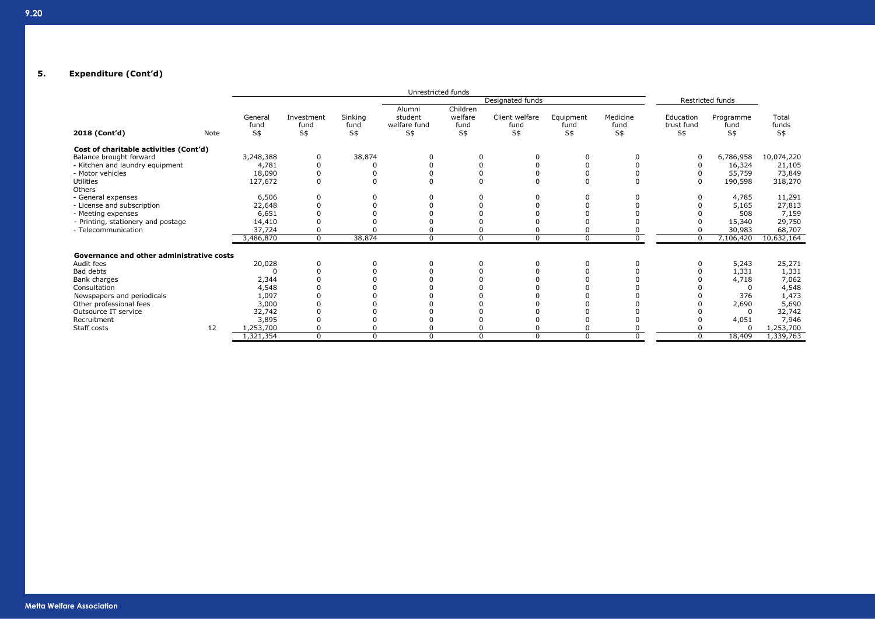# **5. Expenditure (Cont'd)**

| Restricted funds |           |            |
|------------------|-----------|------------|
| Education        | Programme | Total      |
| trust fund       | fund      | funds      |
| S\$              | S\$       | S\$        |
| 0                | 6,786,958 | 10,074,220 |
| 0                | 16,324    | 21,105     |
| $\overline{0}$   | 55,759    | 73,849     |
| 0                | 190,598   | 318,270    |
| 0                | 4,785     | 11,291     |
| 0                | 5,165     | 27,813     |
| 0                | 508       | 7,159      |
| 0                | 15,340    | 29,750     |
| 0                | 30,983    | 68,707     |
| $\overline{0}$   | 7,106,420 | 10,632,164 |
| 0                | 5,243     | 25,271     |
| 0                | 1,331     | 1,331      |
| 0                | 4,718     | 7,062      |
| 0                | 0         | 4,548      |
| 0                | 376       | 1,473      |
| 0                | 2,690     | 5,690      |
| 0                | 0         | 32,742     |
| 0                | 4,051     | 7,946      |
| 0                | 0         | 1,253,700  |
| 0                | 18,409    | 1,339,763  |

|                                           |      |                         |                            |                                   |                                                     |                                     | Designated funds               |                             |                          | Restricted funds                          |                             |                        |
|-------------------------------------------|------|-------------------------|----------------------------|-----------------------------------|-----------------------------------------------------|-------------------------------------|--------------------------------|-----------------------------|--------------------------|-------------------------------------------|-----------------------------|------------------------|
| 2018 (Cont'd)                             | Note | General<br>fund<br>$S\$ | Investment<br>fund<br>$S\$ | Sinking<br>fund<br>S <sup>4</sup> | Alumni<br>student<br>welfare fund<br>S <sub>5</sub> | Children<br>welfare<br>fund<br>$S\$ | Client welfare<br>fund<br>$S\$ | Equipment<br>fund<br>$S$ \$ | Medicine<br>fund<br>$S\$ | Education<br>trust fund<br>S <sup>4</sup> | Programme<br>fund<br>$S$ \$ | Total<br>funds<br>$S*$ |
| Cost of charitable activities (Cont'd)    |      |                         |                            |                                   |                                                     |                                     |                                |                             |                          |                                           |                             |                        |
| Balance brought forward                   |      | 3,248,388               | 0                          | 38,874                            | 0                                                   |                                     |                                |                             |                          | 0                                         | 6,786,958                   | 10,074,220             |
| - Kitchen and laundry equipment           |      | 4,781                   |                            |                                   |                                                     |                                     |                                |                             |                          | 0                                         | 16,324                      | 21,105                 |
| - Motor vehicles                          |      | 18,090                  |                            |                                   |                                                     |                                     |                                |                             |                          | 0                                         | 55,759                      | 73,849                 |
| Utilities<br>Others                       |      | 127,672                 |                            |                                   |                                                     |                                     |                                |                             |                          | 0                                         | 190,598                     | 318,270                |
| - General expenses                        |      | 6,506                   | $\Omega$                   |                                   |                                                     |                                     |                                |                             |                          | 0                                         | 4,785                       | 11,291                 |
| - License and subscription                |      | 22,648                  |                            |                                   |                                                     |                                     |                                |                             |                          |                                           | 5,165                       | 27,813                 |
| - Meeting expenses                        |      | 6,651                   |                            |                                   |                                                     |                                     |                                |                             |                          |                                           | 508                         | 7,159                  |
| - Printing, stationery and postage        |      | 14,410                  |                            |                                   |                                                     |                                     |                                |                             |                          |                                           | 15,340                      | 29,750                 |
| - Telecommunication                       |      | 37,724                  |                            |                                   |                                                     |                                     |                                |                             |                          |                                           | 30,983                      | 68,707                 |
|                                           |      | 3,486,870               | $\mathbf{0}$               | 38,874                            | $\Omega$                                            | 0                                   | $\Omega$                       | $\mathbf{0}$                | $\Omega$                 | $\mathbf 0$                               | 7,106,420                   | 10,632,164             |
| Governance and other administrative costs |      |                         |                            |                                   |                                                     |                                     |                                |                             |                          |                                           |                             |                        |
| Audit fees                                |      | 20,028                  | 0                          |                                   | 0                                                   |                                     |                                | 0                           |                          | 0                                         | 5,243                       | 25,271                 |
| Bad debts                                 |      |                         |                            |                                   |                                                     |                                     |                                |                             |                          |                                           | 1,331                       | 1,331                  |
| Bank charges                              |      | 2,344                   |                            |                                   |                                                     |                                     |                                |                             |                          |                                           | 4,718                       | 7,062                  |
| Consultation                              |      | 4,548                   |                            |                                   |                                                     |                                     |                                |                             |                          |                                           |                             | 4,548                  |
| Newspapers and periodicals                |      | 1,097                   |                            |                                   |                                                     |                                     |                                |                             |                          |                                           | 376                         | 1,473                  |
| Other professional fees                   |      | 3,000                   |                            |                                   |                                                     |                                     |                                |                             |                          |                                           | 2,690                       | 5,690                  |
| Outsource IT service                      |      | 32,742                  |                            |                                   |                                                     |                                     |                                |                             |                          |                                           |                             | 32,742                 |
| Recruitment                               |      | 3,895                   |                            |                                   |                                                     |                                     |                                |                             |                          |                                           | 4,051                       | 7,946                  |
| Staff costs                               | 12   | 1,253,700               |                            |                                   |                                                     |                                     |                                |                             |                          |                                           |                             | 1,253,700              |
|                                           |      | 1,321,354               | $\mathbf{0}$               | $\mathbf{0}$                      | $\Omega$                                            | $\mathbf{0}$                        | $\Omega$                       | $\mathbf{0}$                | $\mathbf{0}$             | $\mathbf{0}$                              | 18,409                      | 1,339,763              |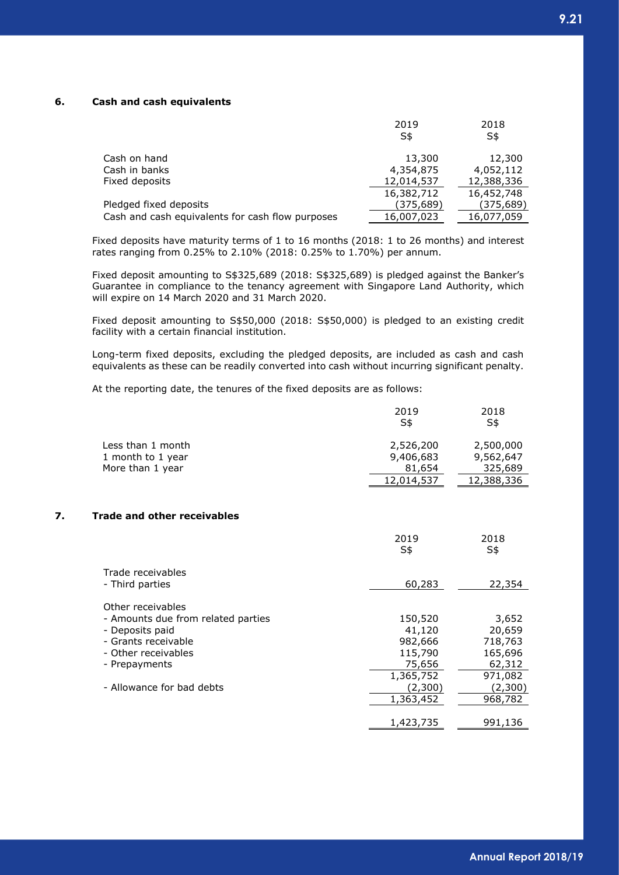*[UEN. S94SS0081K]*

#### **6. Cash and cash equivalents**

|                                                  | 2019       | 2018       |
|--------------------------------------------------|------------|------------|
|                                                  | S\$        | S\$        |
| Cash on hand                                     | 13,300     | 12,300     |
| Cash in banks                                    | 4,354,875  | 4,052,112  |
| Fixed deposits                                   | 12,014,537 | 12,388,336 |
|                                                  | 16,382,712 | 16,452,748 |
| Pledged fixed deposits                           | (375,689)  | (375,689)  |
| Cash and cash equivalents for cash flow purposes | 16,007,023 | 16,077,059 |

Fixed deposits have maturity terms of 1 to 16 months (2018: 1 to 26 months) and interest rates ranging from 0.25% to 2.10% (2018: 0.25% to 1.70%) per annum.

Fixed deposit amounting to S\$325,689 (2018: S\$325,689) is pledged against the Banker's Guarantee in compliance to the tenancy agreement with Singapore Land Authority, which will expire on 14 March 2020 and 31 March 2020.

Fixed deposit amounting to S\$50,000 (2018: S\$50,000) is pledged to an existing credit facility with a certain financial institution.

Long-term fixed deposits, excluding the pledged deposits, are included as cash and cash equivalents as these can be readily converted into cash without incurring significant penalty.

At the reporting date, the tenures of the fixed deposits are as follows:

|    |                                      | 2019<br>S <sub>5</sub> | 2018<br>S <sub>5</sub> |
|----|--------------------------------------|------------------------|------------------------|
|    | Less than 1 month                    | 2,526,200              | 2,500,000              |
|    | 1 month to 1 year                    | 9,406,683              | 9,562,647              |
|    | More than 1 year                     | 81,654<br>12,014,537   | 325,689<br>12,388,336  |
| 7. | <b>Trade and other receivables</b>   |                        |                        |
|    |                                      | 2019<br>S <sub>5</sub> | 2018<br>$S$ \$         |
|    | Trade receivables<br>- Third parties | 60,283                 | 22,354                 |
|    | Other receivables                    |                        |                        |
|    | - Amounts due from related parties   | 150,520                | 3,652                  |
|    | - Deposits paid                      | 41,120                 | 20,659                 |
|    | - Grants receivable                  | 982 666                | 718 763                |

| - Grants receivable       | 982,666   | 718,763 |
|---------------------------|-----------|---------|
| - Other receivables       | 115,790   | 165,696 |
| - Prepayments             | 75,656    | 62,312  |
|                           | 1,365,752 | 971,082 |
| - Allowance for bad debts | (2,300)   | (2,300) |
|                           | 1,363,452 | 968,782 |
|                           |           |         |

1,423,735 991,136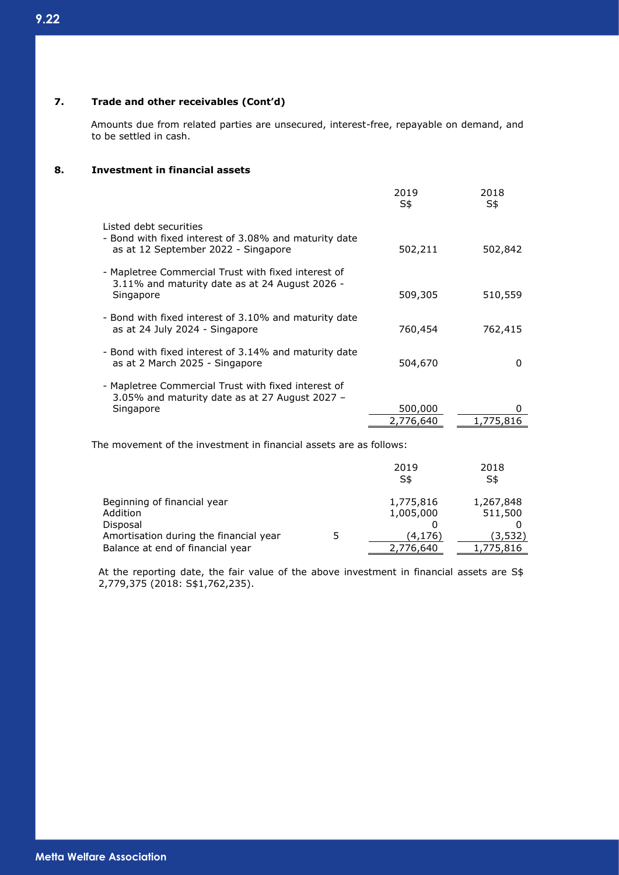# **7. Trade and other receivables (Cont'd)**

Amounts due from related parties are unsecured, interest-free, repayable on demand, and to be settled in cash.

*[UEN. S94SS0081K]*

# **8. Investment in financial assets**

|                                                                                                                        | 2019<br>S\$ | 2018<br>S\$ |
|------------------------------------------------------------------------------------------------------------------------|-------------|-------------|
| Listed debt securities<br>- Bond with fixed interest of 3.08% and maturity date<br>as at 12 September 2022 - Singapore | 502,211     | 502,842     |
| - Mapletree Commercial Trust with fixed interest of<br>3.11% and maturity date as at 24 August 2026 -<br>Singapore     | 509,305     | 510,559     |
| - Bond with fixed interest of 3.10% and maturity date<br>as at 24 July 2024 - Singapore                                | 760,454     | 762,415     |
| - Bond with fixed interest of 3.14% and maturity date<br>as at 2 March 2025 - Singapore                                | 504,670     | O           |
| - Mapletree Commercial Trust with fixed interest of<br>3.05% and maturity date as at 27 August 2027 $-$<br>Singapore   | 500,000     |             |
|                                                                                                                        | 2,776,640   | 1,775,816   |

The movement of the investment in financial assets are as follows:

|                                                                                                                                   | 2019<br>S\$                                    | 2018<br>S\$                                  |
|-----------------------------------------------------------------------------------------------------------------------------------|------------------------------------------------|----------------------------------------------|
| Beginning of financial year<br>Addition<br>Disposal<br>Amortisation during the financial year<br>Balance at end of financial year | 1,775,816<br>1,005,000<br>(4,176)<br>2,776,640 | 1,267,848<br>511,500<br>(3,532)<br>1,775,816 |

At the reporting date, the fair value of the above investment in financial assets are S\$ 2,779,375 (2018: S\$1,762,235).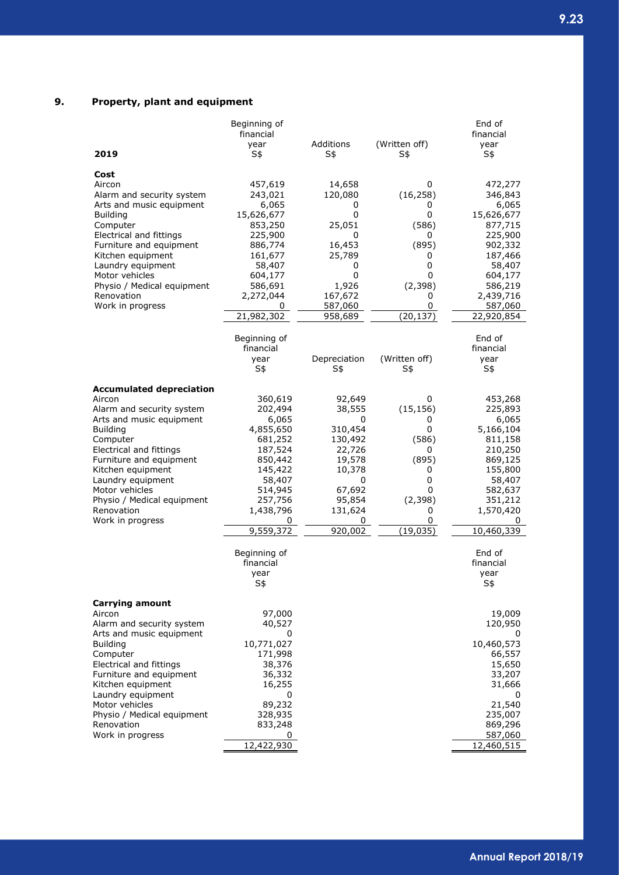*[UEN. S94SS0081K]*

# **9. Property, plant and equipment**

| 2019<br>Cost<br>Aircon<br>Alarm and security system<br>Arts and music equipment<br><b>Building</b><br>Computer                                                                                                                                                                                                      | Beginning of<br>financial<br>year<br>S <sub>5</sub><br>457,619<br>243,021<br>6,065<br>15,626,677<br>853,250                                                                                     | Additions<br>S <sub>5</sub><br>14,658<br>120,080<br>0<br>0<br>25,051                                                          | (Written off)<br>S <sub>5</sub><br>0<br>(16, 258)<br>0<br>0<br>(586)                             | End of<br>financial<br>year<br>S <sub>5</sub><br>472,277<br>346,843<br>6,065<br>15,626,677<br>877,715                                                                                      |
|---------------------------------------------------------------------------------------------------------------------------------------------------------------------------------------------------------------------------------------------------------------------------------------------------------------------|-------------------------------------------------------------------------------------------------------------------------------------------------------------------------------------------------|-------------------------------------------------------------------------------------------------------------------------------|--------------------------------------------------------------------------------------------------|--------------------------------------------------------------------------------------------------------------------------------------------------------------------------------------------|
| Electrical and fittings<br>Furniture and equipment<br>Kitchen equipment<br>Laundry equipment<br>Motor vehicles<br>Physio / Medical equipment<br>Renovation<br>Work in progress                                                                                                                                      | 225,900<br>886,774<br>161,677<br>58,407<br>604,177<br>586,691<br>2,272,044<br>0<br>21,982,302                                                                                                   | 0<br>16,453<br>25,789<br>0<br>0<br>1,926<br>167,672<br>587,060<br>958,689                                                     | 0<br>(895)<br>0<br>0<br>0<br>(2,398)<br>0<br>0<br>(20, 137)                                      | 225,900<br>902,332<br>187,466<br>58,407<br>604,177<br>586,219<br>2,439,716<br>587,060<br>22,920,854                                                                                        |
|                                                                                                                                                                                                                                                                                                                     | Beginning of<br>financial<br>year<br>S\$                                                                                                                                                        | Depreciation<br>S <sub>5</sub>                                                                                                | (Written off)<br>S\$                                                                             | End of<br>financial<br>year<br>S\$                                                                                                                                                         |
| <b>Accumulated depreciation</b><br>Aircon<br>Alarm and security system<br>Arts and music equipment<br><b>Building</b><br>Computer<br>Electrical and fittings<br>Furniture and equipment<br>Kitchen equipment<br>Laundry equipment<br>Motor vehicles<br>Physio / Medical equipment<br>Renovation<br>Work in progress | 360,619<br>202,494<br>6,065<br>4,855,650<br>681,252<br>187,524<br>850,442<br>145,422<br>58,407<br>514,945<br>257,756<br>1,438,796<br>0<br>9,559,372<br>Beginning of<br>financial<br>year<br>5\$ | 92,649<br>38,555<br>0<br>310,454<br>130,492<br>22,726<br>19,578<br>10,378<br>0<br>67,692<br>95,854<br>131,624<br>0<br>920,002 | 0<br>(15, 156)<br>0<br>0<br>(586)<br>0<br>(895)<br>0<br>0<br>0<br>(2,398)<br>0<br>0<br>(19, 035) | 453,268<br>225,893<br>6,065<br>5,166,104<br>811,158<br>210,250<br>869,125<br>155,800<br>58,407<br>582,637<br>351,212<br>1,570,420<br>0<br>10,460,339<br>End of<br>financial<br>year<br>5\$ |
| <b>Carrying amount</b><br>Aircon<br>Alarm and security system<br>Arts and music equipment<br><b>Building</b><br>Computer<br>Electrical and fittings<br>Furniture and equipment<br>Kitchen equipment<br>Laundry equipment<br>Motor vehicles<br>Physio / Medical equipment<br>Renovation<br>Work in progress          | 97,000<br>40,527<br>0<br>10,771,027<br>171,998<br>38,376<br>36,332<br>16,255<br>0<br>89,232<br>328,935<br>833,248<br>0<br>12,422,930                                                            |                                                                                                                               |                                                                                                  | 19,009<br>120,950<br>0<br>10,460,573<br>66,557<br>15,650<br>33,207<br>31,666<br>0<br>21,540<br>235,007<br>869,296<br>587,060<br>12,460,515                                                 |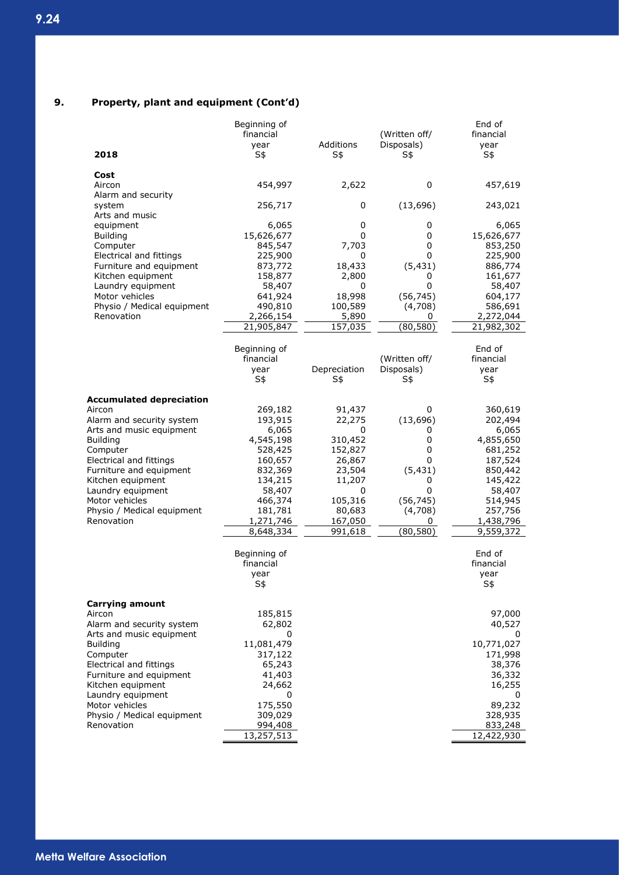# **9. Property, plant and equipment (Cont'd)**

| 2018                                                                                                                                                                                                                                                                                            | Beginning of<br>financial<br>year<br>S <sub>5</sub>                                                                                                                                        | Additions<br>S\$                                                                                                          | (Written off/<br>Disposals)<br>S\$                                                                | End of<br>financial<br>year<br>S\$                                                                                                                                                   |
|-------------------------------------------------------------------------------------------------------------------------------------------------------------------------------------------------------------------------------------------------------------------------------------------------|--------------------------------------------------------------------------------------------------------------------------------------------------------------------------------------------|---------------------------------------------------------------------------------------------------------------------------|---------------------------------------------------------------------------------------------------|--------------------------------------------------------------------------------------------------------------------------------------------------------------------------------------|
| Cost<br>Aircon                                                                                                                                                                                                                                                                                  | 454,997                                                                                                                                                                                    | 2,622                                                                                                                     | 0                                                                                                 | 457,619                                                                                                                                                                              |
| Alarm and security<br>system                                                                                                                                                                                                                                                                    | 256,717                                                                                                                                                                                    | 0                                                                                                                         | (13,696)                                                                                          | 243,021                                                                                                                                                                              |
| Arts and music<br>equipment<br><b>Building</b><br>Computer<br>Electrical and fittings<br>Furniture and equipment<br>Kitchen equipment<br>Laundry equipment<br>Motor vehicles<br>Physio / Medical equipment<br>Renovation                                                                        | 6,065<br>15,626,677<br>845,547<br>225,900<br>873,772<br>158,877<br>58,407<br>641,924<br>490,810<br>2,266,154<br>21,905,847                                                                 | 0<br>0<br>7,703<br>0<br>18,433<br>2,800<br>0<br>18,998<br>100,589<br>5,890<br>157,035                                     | 0<br>0<br>0<br>0<br>(5, 431)<br>0<br>0<br>(56, 745)<br>(4,708)<br>0<br>(80, 580)                  | 6,065<br>15,626,677<br>853,250<br>225,900<br>886,774<br>161,677<br>58,407<br>604,177<br>586,691<br>2,272,044<br>21,982,302                                                           |
|                                                                                                                                                                                                                                                                                                 | Beginning of<br>financial<br>year<br>S\$                                                                                                                                                   | Depreciation<br>S\$                                                                                                       | (Written off/<br>Disposals)<br>S\$                                                                | End of<br>financial<br>year<br>S\$                                                                                                                                                   |
| <b>Accumulated depreciation</b><br>Aircon<br>Alarm and security system<br>Arts and music equipment<br><b>Building</b><br>Computer<br>Electrical and fittings<br>Furniture and equipment<br>Kitchen equipment<br>Laundry equipment<br>Motor vehicles<br>Physio / Medical equipment<br>Renovation | 269,182<br>193,915<br>6,065<br>4,545,198<br>528,425<br>160,657<br>832,369<br>134,215<br>58,407<br>466,374<br>181,781<br>1,271,746<br>8,648,334<br>Beginning of<br>financial<br>year<br>S\$ | 91,437<br>22,275<br>0<br>310,452<br>152,827<br>26,867<br>23,504<br>11,207<br>0<br>105,316<br>80,683<br>167,050<br>991,618 | 0<br>(13, 696)<br>0<br>0<br>0<br>0<br>(5, 431)<br>0<br>0<br>(56, 745)<br>(4,708)<br>0<br>(80.580) | 360,619<br>202,494<br>6,065<br>4,855,650<br>681,252<br>187,524<br>850,442<br>145,422<br>58,407<br>514,945<br>257,756<br>1,438,796<br>9,559,372<br>End of<br>financial<br>year<br>S\$ |
| <b>Carrying amount</b><br>Aircon<br>Alarm and security system<br>Arts and music equipment<br><b>Building</b><br>Computer<br><b>Electrical and fittings</b><br>Furniture and equipment<br>Kitchen equipment<br>Laundry equipment<br>Motor vehicles<br>Physio / Medical equipment<br>Renovation   | 185,815<br>62,802<br>0<br>11,081,479<br>317,122<br>65,243<br>41,403<br>24,662<br>0<br>175,550<br>309,029<br>994,408<br>13,257,513                                                          |                                                                                                                           |                                                                                                   | 97,000<br>40,527<br>0<br>10,771,027<br>171,998<br>38,376<br>36,332<br>16,255<br>0<br>89,232<br>328,935<br>833,248<br>12,422,930                                                      |

*[UEN. S94SS0081K]*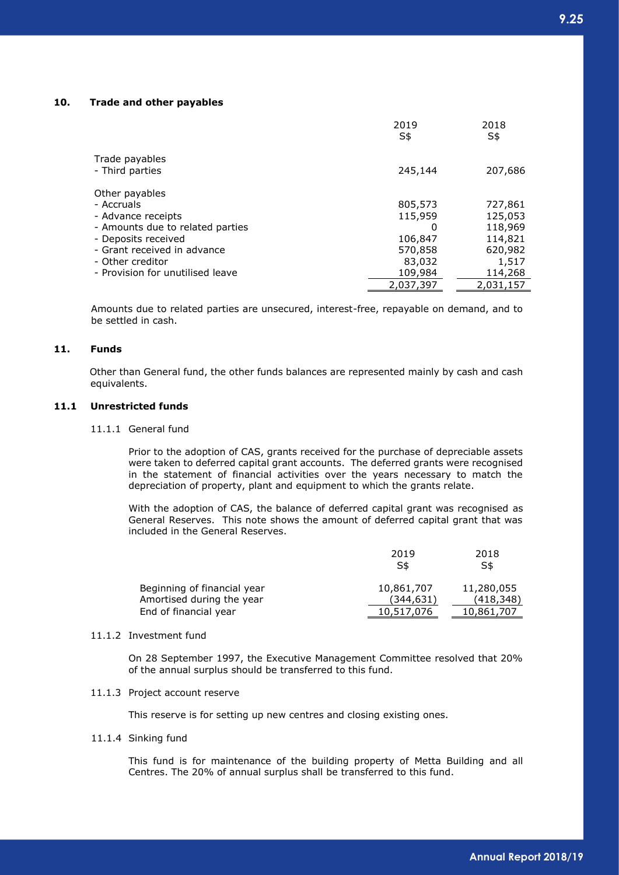|                                                                                                                                                                                                      | 2019<br>S\$                                                                   | 2018<br>S\$                                                             |
|------------------------------------------------------------------------------------------------------------------------------------------------------------------------------------------------------|-------------------------------------------------------------------------------|-------------------------------------------------------------------------|
| Trade payables<br>- Third parties                                                                                                                                                                    | 245,144                                                                       | 207,686                                                                 |
| Other payables<br>- Accruals<br>- Advance receipts<br>- Amounts due to related parties<br>- Deposits received<br>- Grant received in advance<br>- Other creditor<br>- Provision for unutilised leave | 805,573<br>115,959<br>$\mathbf{0}$<br>106,847<br>570,858<br>83,032<br>109,984 | 727,861<br>125,053<br>118,969<br>114,821<br>620,982<br>1,517<br>114,268 |
|                                                                                                                                                                                                      | 2,037,397                                                                     | 2,031,157                                                               |

Amounts due to related parties are unsecured, interest-free, repayable on demand, and to be settled in cash.

### **11. Funds**

 Other than General fund, the other funds balances are represented mainly by cash and cash equivalents.

# **11.1 Unrestricted funds**

#### 11.1.1 General fund

Prior to the adoption of CAS, grants received for the purchase of depreciable assets were taken to deferred capital grant accounts. The deferred grants were recognised in the statement of financial activities over the years necessary to match the depreciation of property, plant and equipment to which the grants relate.

With the adoption of CAS, the balance of deferred capital grant was recognised as General Reserves. This note shows the amount of deferred capital grant that was included in the General Reserves.

|                             | 2019<br>S\$ | 2018<br>S\$ |
|-----------------------------|-------------|-------------|
| Beginning of financial year | 10,861,707  | 11,280,055  |
| Amortised during the year   | (344,631)   | (418,348)   |
| End of financial year       | 10,517,076  | 10,861,707  |

#### 11.1.2 Investment fund

On 28 September 1997, the Executive Management Committee resolved that 20% of the annual surplus should be transferred to this fund.

#### 11.1.3 Project account reserve

This reserve is for setting up new centres and closing existing ones.

#### 11.1.4 Sinking fund

This fund is for maintenance of the building property of Metta Building and all Centres. The 20% of annual surplus shall be transferred to this fund.

*[UEN. S94SS0081K]*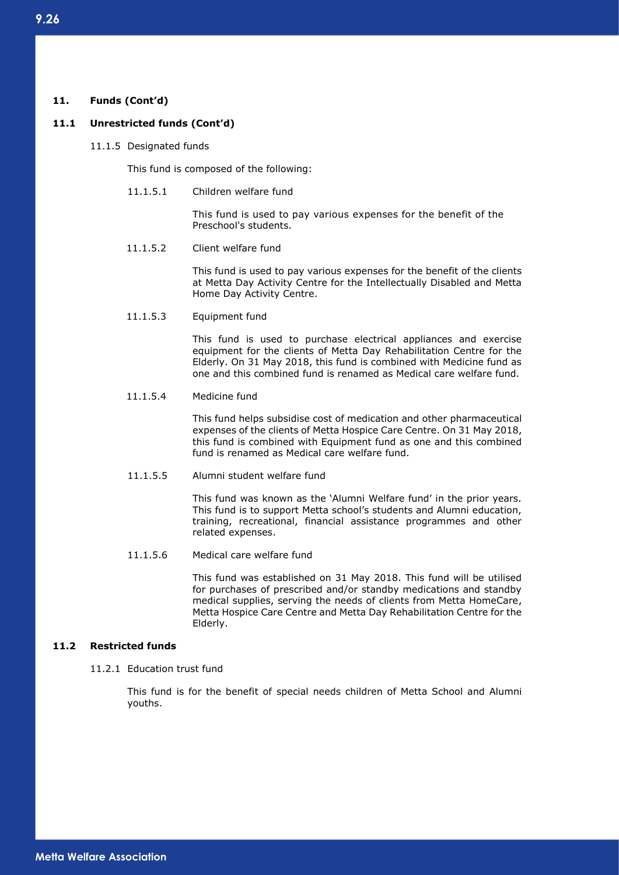# **11. Funds (Cont'd)**

# **11.1 Unrestricted funds (Cont'd)**

# 11.1.5 Designated funds

This fund is composed of the following:

11.1.5.1 Children welfare fund

This fund is used to pay various expenses for the benefit of the Preschool's students.

*[UEN. S94SS0081K]*

11.1.5.2 Client welfare fund

This fund is used to pay various expenses for the benefit of the clients at Metta Day Activity Centre for the Intellectually Disabled and Metta Home Day Activity Centre.

11.1.5.3 Equipment fund

This fund is used to purchase electrical appliances and exercise equipment for the clients of Metta Day Rehabilitation Centre for the Elderly. On 31 May 2018, this fund is combined with Medicine fund as one and this combined fund is renamed as Medical care welfare fund.

# 11.1.5.4 Medicine fund

This fund helps subsidise cost of medication and other pharmaceutical expenses of the clients of Metta Hospice Care Centre. On 31 May 2018, this fund is combined with Equipment fund as one and this combined fund is renamed as Medical care welfare fund.

11.1.5.5 Alumni student welfare fund

This fund was known as the 'Alumni Welfare fund' in the prior years. This fund is to support Metta school's students and Alumni education, training, recreational, financial assistance programmes and other related expenses.

11.1.5.6 Medical care welfare fund

This fund was established on 31 May 2018. This fund will be utilised for purchases of prescribed and/or standby medications and standby medical supplies, serving the needs of clients from Metta HomeCare, Metta Hospice Care Centre and Metta Day Rehabilitation Centre for the Elderly.

# **11.2 Restricted funds**

11.2.1 Education trust fund

This fund is for the benefit of special needs children of Metta School and Alumni youths.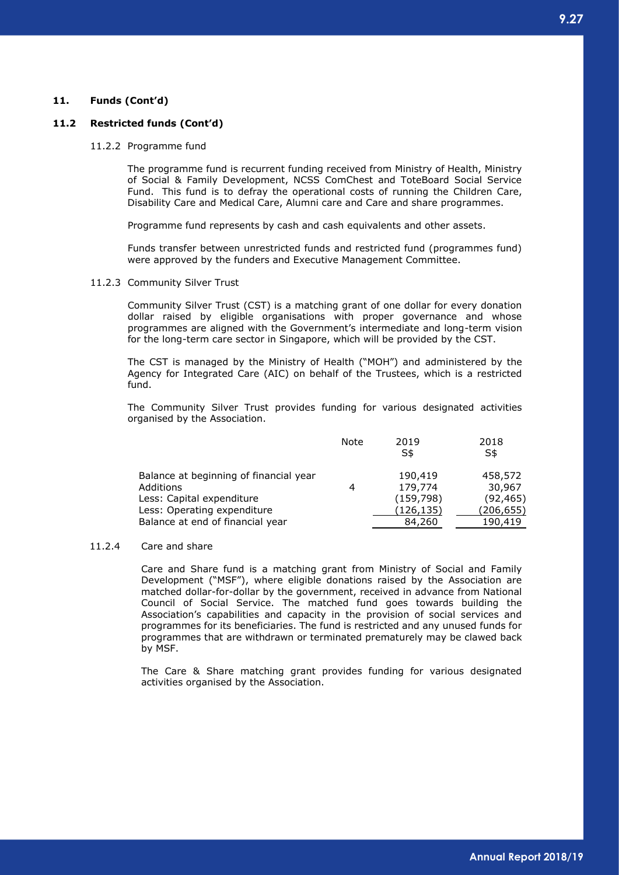# **11. Funds (Cont'd)**

### **11.2 Restricted funds (Cont'd)**

# 11.2.2 Programme fund

The programme fund is recurrent funding received from Ministry of Health, Ministry of Social & Family Development, NCSS ComChest and ToteBoard Social Service Fund. This fund is to defray the operational costs of running the Children Care, Disability Care and Medical Care, Alumni care and Care and share programmes.

Programme fund represents by cash and cash equivalents and other assets.

Funds transfer between unrestricted funds and restricted fund (programmes fund) were approved by the funders and Executive Management Committee.

#### 11.2.3 Community Silver Trust

Community Silver Trust (CST) is a matching grant of one dollar for every donation dollar raised by eligible organisations with proper governance and whose programmes are aligned with the Government's intermediate and long-term vision for the long-term care sector in Singapore, which will be provided by the CST.

The CST is managed by the Ministry of Health ("MOH") and administered by the Agency for Integrated Care (AIC) on behalf of the Trustees, which is a restricted fund.

The Community Silver Trust provides funding for various designated activities organised by the Association.

| Note | 2019<br>S\$ | 2018<br>S\$           |
|------|-------------|-----------------------|
|      | 190,419     | 458,572               |
|      |             | 30,967                |
|      |             | (92, 465)             |
|      | (126,135)   | (206, 655)            |
|      | 84,260      | 190,419               |
|      | 4           | 179,774<br>(159, 798) |

#### 11.2.4 Care and share

Care and Share fund is a matching grant from Ministry of Social and Family Development ("MSF"), where eligible donations raised by the Association are matched dollar-for-dollar by the government, received in advance from National Council of Social Service. The matched fund goes towards building the Association's capabilities and capacity in the provision of social services and programmes for its beneficiaries. The fund is restricted and any unused funds for programmes that are withdrawn or terminated prematurely may be clawed back by MSF.

The Care & Share matching grant provides funding for various designated activities organised by the Association.

*[UEN. S94SS0081K]*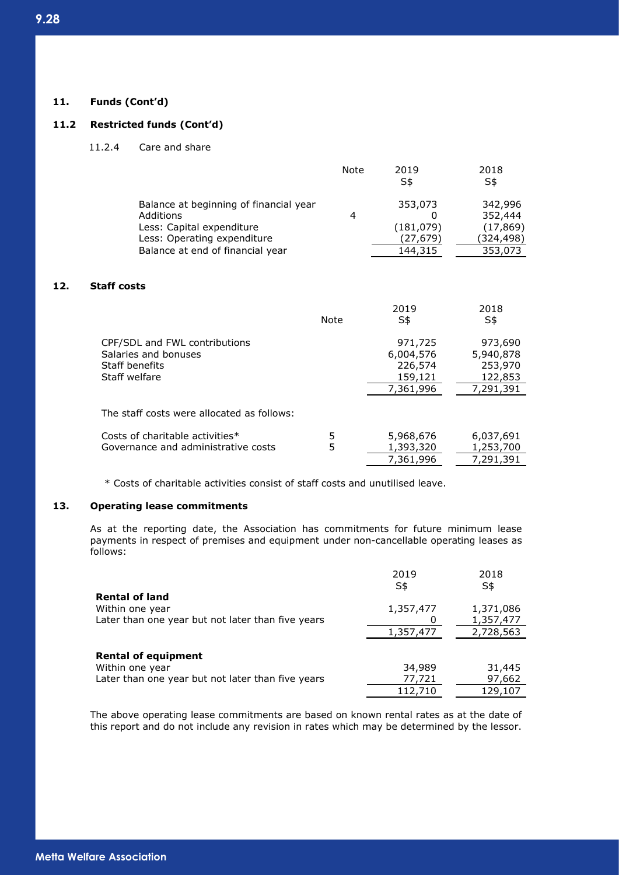# **11. Funds (Cont'd)**

# **11.2 Restricted funds (Cont'd)**

11.2.4 Care and share

|                                        | Note | 2019<br>S\$ | 2018<br>S\$ |
|----------------------------------------|------|-------------|-------------|
| Balance at beginning of financial year |      | 353,073     | 342,996     |
| Additions                              |      |             | 352,444     |
| Less: Capital expenditure              |      | (181, 079)  | (17, 869)   |
| Less: Operating expenditure            |      | (27,679)    | (324,498)   |
| Balance at end of financial year       |      | 144,315     | 353,073     |

*[UEN. S94SS0081K]*

#### **12. Staff costs**

|                                                                                          | Note   | 2019<br>S\$                                             | 2018<br>S\$                                             |
|------------------------------------------------------------------------------------------|--------|---------------------------------------------------------|---------------------------------------------------------|
| CPF/SDL and FWL contributions<br>Salaries and bonuses<br>Staff benefits<br>Staff welfare |        | 971,725<br>6,004,576<br>226,574<br>159,121<br>7,361,996 | 973,690<br>5,940,878<br>253,970<br>122,853<br>7,291,391 |
| The staff costs were allocated as follows:                                               |        |                                                         |                                                         |
| Costs of charitable activities*<br>Governance and administrative costs                   | 5<br>5 | 5,968,676<br>1,393,320<br>7,361,996                     | 6,037,691<br>1,253,700<br>7,291,391                     |

\* Costs of charitable activities consist of staff costs and unutilised leave.

## **13. Operating lease commitments**

As at the reporting date, the Association has commitments for future minimum lease payments in respect of premises and equipment under non-cancellable operating leases as follows:

|                                                   | 2019<br>S\$ | 2018<br>S\$            |
|---------------------------------------------------|-------------|------------------------|
| <b>Rental of land</b><br>Within one year          | 1,357,477   | 1,371,086              |
| Later than one year but not later than five years | 1,357,477   | 1,357,477<br>2,728,563 |
| <b>Rental of equipment</b>                        |             |                        |
| Within one year                                   | 34,989      | 31,445                 |
| Later than one year but not later than five years | 77,721      | 97,662                 |
|                                                   | 112,710     | 129,107                |

The above operating lease commitments are based on known rental rates as at the date of this report and do not include any revision in rates which may be determined by the lessor.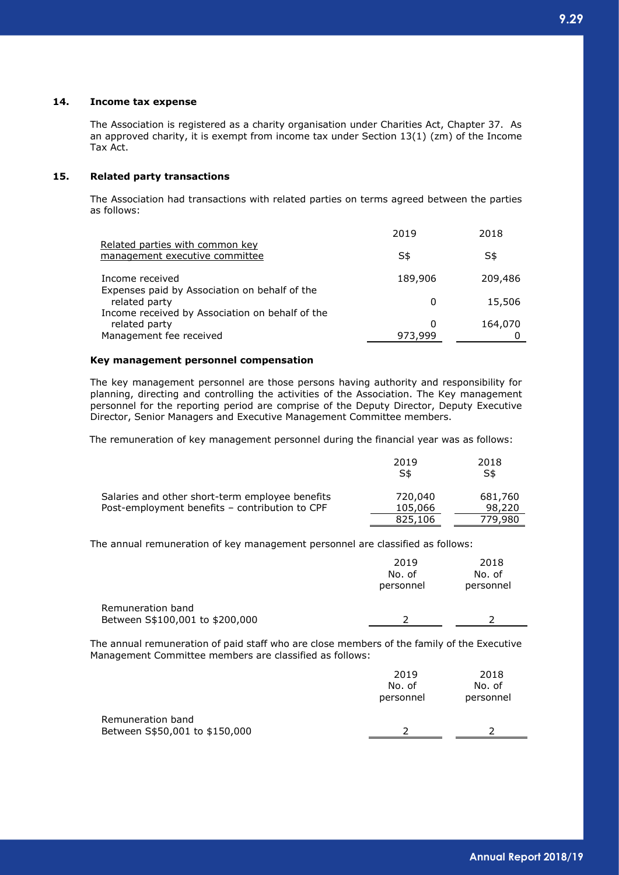# **14. Income tax expense**

The Association is registered as a charity organisation under Charities Act, Chapter 37. As an approved charity, it is exempt from income tax under Section 13(1) (zm) of the Income Tax Act.

# **15. Related party transactions**

The Association had transactions with related parties on terms agreed between the parties as follows:

|                                                                   | 2019    | 2018    |
|-------------------------------------------------------------------|---------|---------|
| Related parties with common key<br>management executive committee | S\$     | S\$     |
| Income received                                                   | 189,906 | 209,486 |
| Expenses paid by Association on behalf of the<br>related party    | 0       | 15,506  |
| Income received by Association on behalf of the<br>related party  | 0       | 164,070 |
| Management fee received                                           | 973,999 |         |

# **Key management personnel compensation**

The key management personnel are those persons having authority and responsibility for planning, directing and controlling the activities of the Association. The Key management personnel for the reporting period are comprise of the Deputy Director, Deputy Executive Director, Senior Managers and Executive Management Committee members.

The remuneration of key management personnel during the financial year was as follows:

|                                                 | 2019<br>S\$ | 2018<br>S\$ |
|-------------------------------------------------|-------------|-------------|
| Salaries and other short-term employee benefits | 720,040     | 681,760     |
| Post-employment benefits - contribution to CPF  | 105,066     | 98,220      |
|                                                 | 825,106     | 779,980     |

The annual remuneration of key management personnel are classified as follows:

|                                 | 2019      | 2018      |
|---------------------------------|-----------|-----------|
|                                 | No. of    | No. of    |
|                                 | personnel | personnel |
| Remuneration band               |           |           |
| Between S\$100,001 to \$200,000 |           |           |

The annual remuneration of paid staff who are close members of the family of the Executive Management Committee members are classified as follows:

|                                                     | 2019<br>No. of<br>personnel | 2018<br>No. of<br>personnel |
|-----------------------------------------------------|-----------------------------|-----------------------------|
| Remuneration band<br>Between S\$50,001 to \$150,000 |                             |                             |
|                                                     |                             |                             |

*[UEN. S94SS0081K]*